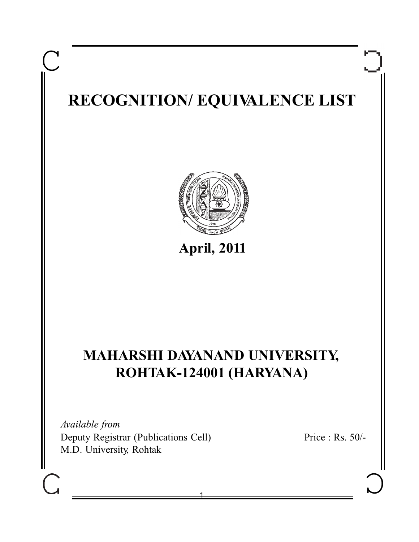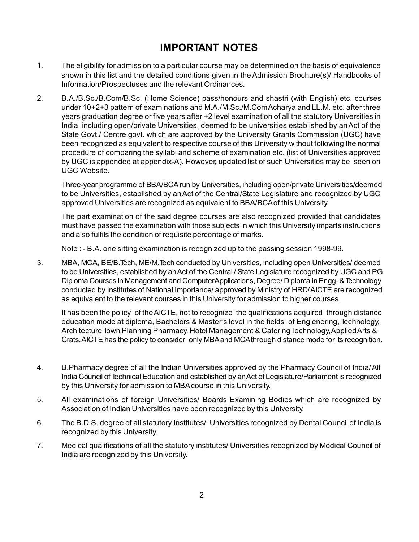# **IMPORTANT NOTES**

- 1. The eligibility for admission to a particular course may be determined on the basis of equivalence shown in this list and the detailed conditions given in the Admission Brochure(s)/ Handbooks of Information/Prospectuses and the relevant Ordinances.
- 2. B.A./B.Sc./B.Com/B.Sc. (Home Science) pass/honours and shastri (with English) etc. courses under 10+2+3 pattern of examinations and M.A./M.Sc./M.Com Acharya and LL.M. etc. after three years graduation degree or five years after +2 level examination of all the statutory Universities in India, including open/private Universities, deemed to be universities established by an Act of the State Govt./ Centre govt. which are approved by the University Grants Commission (UGC) have been recognized as equivalent to respective course of this University without following the normal procedure of comparing the syllabi and scheme of examination etc. (list of Universities approved by UGC is appended at appendix-A). However, updated list of such Universities may be seen on UGC Website.

Three-year programme of BBA/BCArun by Universities, including open/private Universities/deemed to be Universities, established by an Act of the Central/State Legislature and recognized by UGC approved Universities are recognized as equivalent to BBA/BCAof this University.

The part examination of the said degree courses are also recognized provided that candidates must have passed the examination with those subjects in which this University imparts instructions and also fulfils the condition of requisite percentage of marks.

Note : - B.A. one sitting examination is recognized up to the passing session 1998-99.

3. MBA, MCA, BE/B.Tech, ME/M.Tech conducted by Universities, including open Universities/ deemed to be Universities, established by an Act of the Central / State Legislature recognized by UGC and PG Diploma Courses in Management and Computer Applications, Degree/ Diploma in Engg. & Technology conducted by Institutes of National Importance/ approved by Ministry of HRD/ AICTE are recognized as equivalent to the relevant courses in this University for admission to higher courses.

It has been the policy of the AICTE, not to recognize the qualifications acquired through distance education mode at diploma, Bachelors & Master's level in the fields of Engienering, Technology, Architecture Town Planning Pharmacy, Hotel Management & Catering Technology, Applied Arts & Crats. AICTE has the policy to consider only MBAand MCAthrough distance mode for its recognition.

- 4. B.Pharmacy degree of all the Indian Universities approved by the Pharmacy Council of India/ All India Council of Technical Education and established by an Act of Legislature/Parliament is recognized by this University for admission to MBAcourse in this University.
- 5. All examinations of foreign Universities/ Boards Examining Bodies which are recognized by Association of Indian Universities have been recognized by this University.
- 6. The B.D.S. degree of all statutory Institutes/ Universities recognized by Dental Council of India is recognized by this University.
- 7. Medical qualifications of all the statutory institutes/ Universities recognized by Medical Council of India are recognized by this University.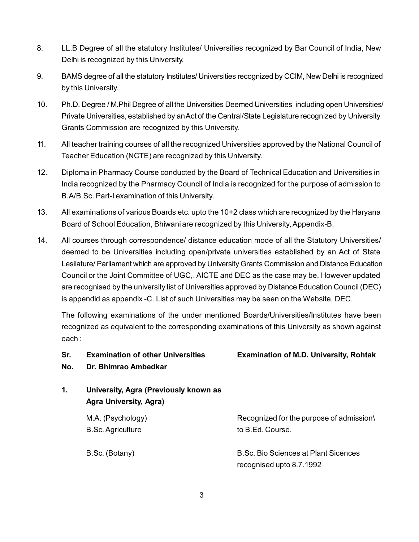- 8. LL.B Degree of all the statutory Institutes/ Universities recognized by Bar Council of India, New Delhi is recognized by this University.
- 9. BAMS degree of all the statutory Institutes/ Universities recognized by CCIM, New Delhi is recognized by this University.
- 10. Ph.D. Degree / M.Phil Degree of all the Universities Deemed Universities including open Universities/ Private Universities, established by an Act of the Central/State Legislature recognized by University Grants Commission are recognized by this University.
- 11. All teacher training courses of all the recognized Universities approved by the National Council of Teacher Education (NCTE) are recognized by this University.
- 12. Diploma in Pharmacy Course conducted by the Board of Technical Education and Universities in India recognized by the Pharmacy Council of India is recognized for the purpose of admission to B.A/B.Sc. Part-I examination of this University.
- 13. All examinations of various Boards etc. upto the 10+2 class which are recognized by the Haryana Board of School Education, Bhiwani are recognized by this University, Appendix-B.
- 14. All courses through correspondence/ distance education mode of all the Statutory Universities/ deemed to be Universities including open/private universities established by an Act of State Lesilature/ Parliament which are approved by University Grants Commission and Distance Education Council or the Joint Committee of UGC,. AICTE and DEC as the case may be. However updated are recognised by the university list of Universities approved by Distance Education Council (DEC) is appendid as appendix -C. List of such Universities may be seen on the Website, DEC.

The following examinations of the under mentioned Boards/Universities/Institutes have been recognized as equivalent to the corresponding examinations of this University as shown against each :

| Sr.<br>No. | <b>Examination of other Universities</b><br>Dr. Bhimrao Ambedkar       | <b>Examination of M.D. University, Rohtak</b>                    |
|------------|------------------------------------------------------------------------|------------------------------------------------------------------|
| 1.         | University, Agra (Previously known as<br><b>Agra University, Agra)</b> |                                                                  |
|            | M.A. (Psychology)<br><b>B.Sc. Agriculture</b>                          | Recognized for the purpose of admission\<br>to B.Ed. Course.     |
|            | B.Sc. (Botany)                                                         | B.Sc. Bio Sciences at Plant Sicences<br>recognised upto 8.7.1992 |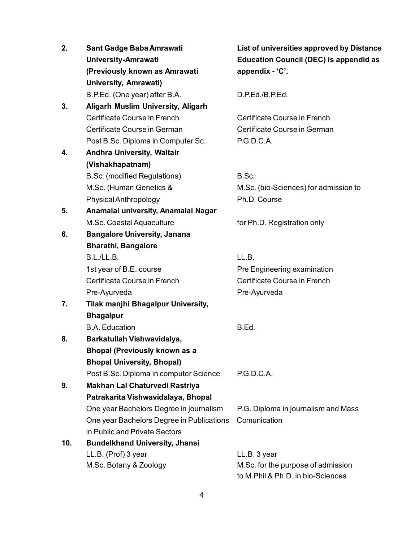| 2.  | Sant Gadge Baba Amrawati                  | List of universities approved by Distance     |
|-----|-------------------------------------------|-----------------------------------------------|
|     | University-Amrawati                       | <b>Education Council (DEC) is appendid as</b> |
|     | (Previously known as Amrawati             | appendix - 'C'.                               |
|     | <b>University, Amrawati)</b>              |                                               |
|     | B.P.Ed. (One year) after B.A.             | D.P.Ed./B.P.Ed.                               |
| 3.  | <b>Aligarh Muslim University, Aligarh</b> |                                               |
|     | Certificate Course in French              | Certificate Course in French                  |
|     | Certificate Course in German              | Certificate Course in German                  |
|     | Post B.Sc. Diploma in Computer Sc.        | P.G.D.C.A.                                    |
| 4.  | <b>Andhra University, Waltair</b>         |                                               |
|     | (Vishakhapatnam)                          |                                               |
|     | B.Sc. (modified Regulations)              | B.Sc.                                         |
|     | M.Sc. (Human Genetics &                   | M.Sc. (bio-Sciences) for admission to         |
|     | Physical Anthropology                     | Ph.D. Course                                  |
| 5.  | Anamalai university, Anamalai Nagar       |                                               |
|     | M.Sc. Coastal Aquaculture                 | for Ph.D. Registration only                   |
| 6.  | <b>Bangalore University, Janana</b>       |                                               |
|     | <b>Bharathi, Bangalore</b>                |                                               |
|     | B.L./LL.B.                                | LL.B.                                         |
|     | 1st year of B.E. course                   | Pre Engineering examination                   |
|     | Certificate Course in French              | Certificate Course in French                  |
|     | Pre-Ayurveda                              | Pre-Ayurveda                                  |
| 7.  | Tilak manjhi Bhagalpur University,        |                                               |
|     | <b>Bhagalpur</b>                          |                                               |
|     | <b>B.A.</b> Education                     | B.Ed.                                         |
| 8.  | Barkatullah Vishwavidalya,                |                                               |
|     | <b>Bhopal (Previously known as a</b>      |                                               |
|     | <b>Bhopal University, Bhopal)</b>         |                                               |
|     | Post B.Sc. Diploma in computer Science    | P.G.D.C.A.                                    |
| 9.  | Makhan Lal Chaturvedi Rastriya            |                                               |
|     | Patrakarita Vishwavidalaya, Bhopal        |                                               |
|     | One year Bachelors Degree in journalism   | P.G. Diploma in journalism and Mass           |
|     | One year Bachelors Degree in Publications | Comunication                                  |
|     | in Public and Private Sectors             |                                               |
| 10. | <b>Bundelkhand University, Jhansi</b>     |                                               |
|     | LL.B. (Prof) 3 year                       | LL.B. 3 year                                  |
|     | M.Sc. Botany & Zoology                    | M.Sc. for the purpose of admission            |
|     |                                           | to M.Phil & Ph.D. in bio-Sciences             |

### 4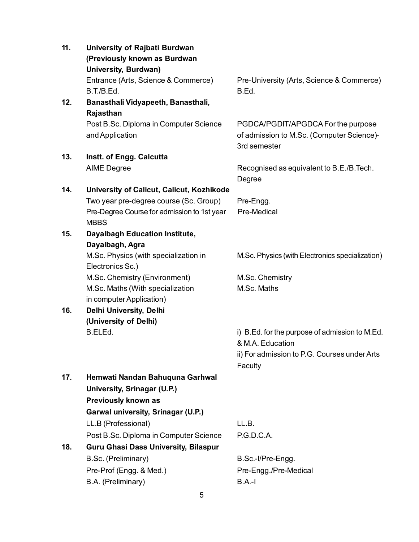| 11. | University of Rajbati Burdwan               |                                                                  |
|-----|---------------------------------------------|------------------------------------------------------------------|
|     | (Previously known as Burdwan                |                                                                  |
|     | <b>University, Burdwan)</b>                 |                                                                  |
|     | Entrance (Arts, Science & Commerce)         | Pre-University (Arts, Science & Commerce)                        |
|     | B.T./B.Ed.                                  | B.Ed.                                                            |
| 12. | Banasthali Vidyapeeth, Banasthali,          |                                                                  |
|     | Rajasthan                                   |                                                                  |
|     | Post B.Sc. Diploma in Computer Science      | PGDCA/PGDIT/APGDCA For the purpose                               |
|     | and Application                             | of admission to M.Sc. (Computer Science)-                        |
|     |                                             | 3rd semester                                                     |
| 13. | Instt. of Engg. Calcutta                    |                                                                  |
|     | <b>AIME Degree</b>                          | Recognised as equivalent to B.E./B.Tech.                         |
|     |                                             | Degree                                                           |
| 14. | University of Calicut, Calicut, Kozhikode   |                                                                  |
|     | Two year pre-degree course (Sc. Group)      | Pre-Engg.                                                        |
|     | Pre-Degree Course for admission to 1st year | Pre-Medical                                                      |
|     | <b>MBBS</b>                                 |                                                                  |
| 15. | <b>Dayalbagh Education Institute,</b>       |                                                                  |
|     | Dayalbagh, Agra                             |                                                                  |
|     | M.Sc. Physics (with specialization in       | M.Sc. Physics (with Electronics specialization)                  |
|     | Electronics Sc.)                            |                                                                  |
|     | M.Sc. Chemistry (Environment)               | M.Sc. Chemistry                                                  |
|     | M.Sc. Maths (With specialization            | M.Sc. Maths                                                      |
|     | in computer Application)                    |                                                                  |
| 16. | Delhi University, Delhi                     |                                                                  |
|     | (University of Delhi)                       |                                                                  |
|     | B.ELEd.                                     | i) B.Ed. for the purpose of admission to M.Ed.                   |
|     |                                             | & M.A. Education<br>ii) For admission to P.G. Courses under Arts |
|     |                                             |                                                                  |
|     |                                             | Faculty                                                          |
| 17. | Hemwati Nandan Bahuquna Garhwal             |                                                                  |
|     | University, Srinagar (U.P.)                 |                                                                  |
|     | Previously known as                         |                                                                  |
|     | Garwal university, Srinagar (U.P.)          |                                                                  |
|     | LL.B (Professional)                         | LL.B.                                                            |
|     | Post B.Sc. Diploma in Computer Science      | P.G.D.C.A.                                                       |
| 18. | <b>Guru Ghasi Dass University, Bilaspur</b> |                                                                  |
|     | B.Sc. (Preliminary)                         | B.Sc.-I/Pre-Engg.                                                |
|     | Pre-Prof (Engg. & Med.)                     | Pre-Engg./Pre-Medical                                            |
|     | B.A. (Preliminary)                          | $B.A.-I$                                                         |
|     | 5                                           |                                                                  |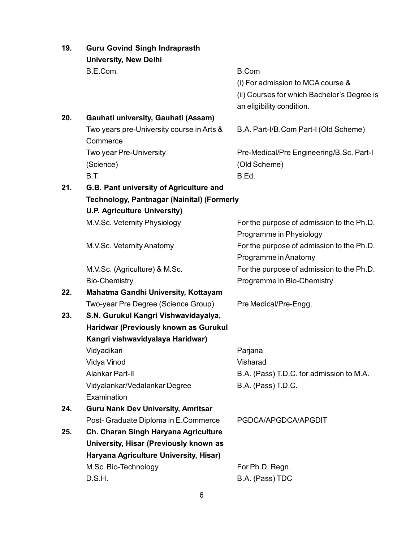| 19. | <b>Guru Govind Singh Indraprasth</b>              |                                             |
|-----|---------------------------------------------------|---------------------------------------------|
|     | <b>University, New Delhi</b>                      |                                             |
|     | B.E.Com.                                          | <b>B.Com</b>                                |
|     |                                                   | (i) For admission to MCA course &           |
|     |                                                   | (ii) Courses for which Bachelor's Degree is |
|     |                                                   | an eligibility condition.                   |
| 20. | Gauhati university, Gauhati (Assam)               |                                             |
|     | Two years pre-University course in Arts &         | B.A. Part-I/B.Com Part-I (Old Scheme)       |
|     | Commerce                                          |                                             |
|     | Two year Pre-University                           | Pre-Medical/Pre Engineering/B.Sc. Part-I    |
|     | (Science)                                         | (Old Scheme)                                |
|     | <b>B.T.</b>                                       | B.Ed.                                       |
| 21. | G.B. Pant university of Agriculture and           |                                             |
|     | <b>Technology, Pantnagar (Nainital) (Formerly</b> |                                             |
|     | <b>U.P. Agriculture University)</b>               |                                             |
|     | M.V.Sc. Veternity Physiology                      | For the purpose of admission to the Ph.D.   |
|     |                                                   | Programme in Physiology                     |
|     | M.V.Sc. Veternity Anatomy                         | For the purpose of admission to the Ph.D.   |
|     |                                                   | Programme in Anatomy                        |
|     | M.V.Sc. (Agriculture) & M.Sc.                     | For the purpose of admission to the Ph.D.   |
|     | <b>Bio-Chemistry</b>                              | Programme in Bio-Chemistry                  |
| 22. | Mahatma Gandhi University, Kottayam               |                                             |
|     | Two-year Pre Degree (Science Group)               | Pre Medical/Pre-Engg.                       |
| 23. | S.N. Gurukul Kangri Vishwavidayalya,              |                                             |
|     | Haridwar (Previously known as Gurukul             |                                             |
|     | Kangri vishwavidyalaya Haridwar)                  |                                             |
|     | Vidyadikari                                       | Parjana                                     |
|     | Vidya Vinod                                       | Visharad                                    |
|     | <b>Alankar Part-II</b>                            | B.A. (Pass) T.D.C. for admission to M.A.    |
|     | Vidyalankar/Vedalankar Degree                     | B.A. (Pass) T.D.C.                          |
|     | Examination                                       |                                             |
| 24. | <b>Guru Nank Dev University, Amritsar</b>         |                                             |
|     | Post- Graduate Diploma in E.Commerce              | PGDCA/APGDCA/APGDIT                         |
| 25. | Ch. Charan Singh Haryana Agriculture              |                                             |
|     | University, Hisar (Previously known as            |                                             |
|     | Haryana Agriculture University, Hisar)            |                                             |
|     | M.Sc. Bio-Technology                              | For Ph.D. Regn.                             |
|     | D.S.H.                                            | B.A. (Pass) TDC                             |
|     |                                                   |                                             |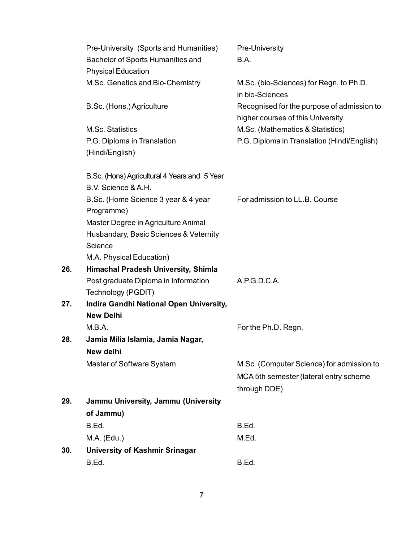|     | Pre-University (Sports and Humanities)       | Pre-University                              |
|-----|----------------------------------------------|---------------------------------------------|
|     | Bachelor of Sports Humanities and            | B.A.                                        |
|     | <b>Physical Education</b>                    |                                             |
|     | M.Sc. Genetics and Bio-Chemistry             | M.Sc. (bio-Sciences) for Regn. to Ph.D.     |
|     |                                              | in bio-Sciences                             |
|     | B.Sc. (Hons.) Agriculture                    | Recognised for the purpose of admission to  |
|     |                                              | higher courses of this University           |
|     | M.Sc. Statistics                             | M.Sc. (Mathematics & Statistics)            |
|     | P.G. Diploma in Translation                  | P.G. Diploma in Translation (Hindi/English) |
|     | (Hindi/English)                              |                                             |
|     | B.Sc. (Hons) Agricultural 4 Years and 5 Year |                                             |
|     | B.V. Science & A.H.                          |                                             |
|     | B.Sc. (Home Science 3 year & 4 year          | For admission to LL.B. Course               |
|     | Programme)                                   |                                             |
|     | Master Degree in Agriculture Animal          |                                             |
|     | Husbandary, Basic Sciences & Veternity       |                                             |
|     | Science                                      |                                             |
|     | M.A. Physical Education)                     |                                             |
| 26. | <b>Himachal Pradesh University, Shimla</b>   |                                             |
|     | Post graduate Diploma in Information         | A.P.G.D.C.A.                                |
|     | Technology (PGDIT)                           |                                             |
| 27. | Indira Gandhi National Open University,      |                                             |
|     | <b>New Delhi</b>                             |                                             |
|     | M.B.A.                                       | For the Ph.D. Regn.                         |
| 28. | Jamia Milia Islamia, Jamia Nagar,            |                                             |
|     | New delhi                                    |                                             |
|     | Master of Software System                    | M.Sc. (Computer Science) for admission to   |
|     |                                              | MCA 5th semester (lateral entry scheme      |
|     |                                              | through DDE)                                |
| 29. | Jammu University, Jammu (University          |                                             |
|     | of Jammu)                                    |                                             |
|     | B.Ed.                                        | B.Ed.                                       |
|     | M.A. (Edu.)                                  | M.Ed.                                       |
| 30. | University of Kashmir Srinagar               |                                             |
|     | B.Ed.                                        | B.Ed.                                       |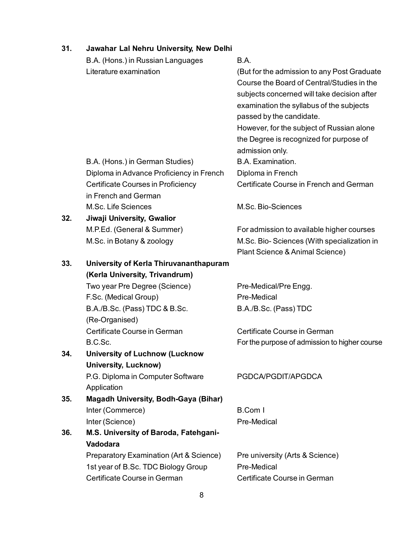| 31. | Jawahar Lal Nehru University, New Delhi     |                                               |
|-----|---------------------------------------------|-----------------------------------------------|
|     | B.A. (Hons.) in Russian Languages           | B.A.                                          |
|     | Literature examination                      | (But for the admission to any Post Graduate   |
|     |                                             | Course the Board of Central/Studies in the    |
|     |                                             | subjects concerned will take decision after   |
|     |                                             | examination the syllabus of the subjects      |
|     |                                             | passed by the candidate.                      |
|     |                                             | However, for the subject of Russian alone     |
|     |                                             | the Degree is recognized for purpose of       |
|     |                                             | admission only.                               |
|     | B.A. (Hons.) in German Studies)             | B.A. Examination.                             |
|     | Diploma in Advance Proficiency in French    | Diploma in French                             |
|     | Certificate Courses in Proficiency          | Certificate Course in French and German       |
|     | in French and German                        |                                               |
|     | M.Sc. Life Sciences                         | M.Sc. Bio-Sciences                            |
| 32. | Jiwaji University, Gwalior                  |                                               |
|     | M.P.Ed. (General & Summer)                  | For admission to available higher courses     |
|     | M.Sc. in Botany & zoology                   | M.Sc. Bio-Sciences (With specialization in    |
|     |                                             | Plant Science & Animal Science)               |
| 33. | University of Kerla Thiruvananthapuram      |                                               |
|     | (Kerla University, Trivandrum)              |                                               |
|     | Two year Pre Degree (Science)               | Pre-Medical/Pre Engg.                         |
|     | F.Sc. (Medical Group)                       | Pre-Medical                                   |
|     | B.A./B.Sc. (Pass) TDC & B.Sc.               | B.A./B.Sc. (Pass) TDC                         |
|     | (Re-Organised)                              |                                               |
|     | Certificate Course in German                | Certificate Course in German                  |
|     | B.C.Sc.                                     | For the purpose of admission to higher course |
| 34. | <b>University of Luchnow (Lucknow</b>       |                                               |
|     | <b>University, Lucknow)</b>                 |                                               |
|     | P.G. Diploma in Computer Software           | PGDCA/PGDIT/APGDCA                            |
|     | Application                                 |                                               |
| 35. | <b>Magadh University, Bodh-Gaya (Bihar)</b> |                                               |
|     | Inter (Commerce)                            | <b>B.Com I</b>                                |
|     | Inter (Science)                             | Pre-Medical                                   |
| 36. | M.S. University of Baroda, Fatehgani-       |                                               |
|     | Vadodara                                    |                                               |
|     | Preparatory Examination (Art & Science)     | Pre university (Arts & Science)               |
|     | 1st year of B.Sc. TDC Biology Group         | Pre-Medical                                   |
|     | Certificate Course in German                | Certificate Course in German                  |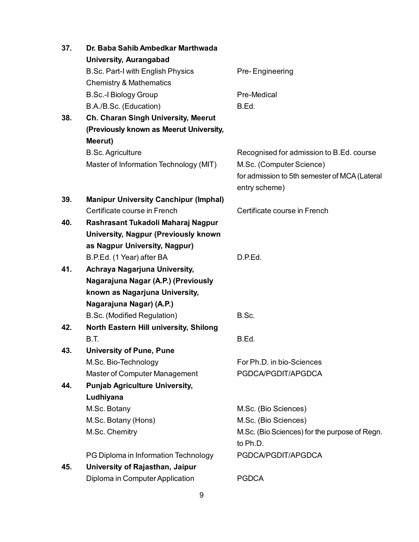| 37. | Dr. Baba Sahib Ambedkar Marthwada            |                                               |
|-----|----------------------------------------------|-----------------------------------------------|
|     | <b>University, Aurangabad</b>                |                                               |
|     | B.Sc. Part-I with English Physics            | Pre-Engineering                               |
|     | <b>Chemistry &amp; Mathematics</b>           |                                               |
|     | <b>B.Sc.-I Biology Group</b>                 | Pre-Medical                                   |
|     | B.A./B.Sc. (Education)                       | B.Ed.                                         |
| 38. | Ch. Charan Singh University, Meerut          |                                               |
|     | (Previously known as Meerut University,      |                                               |
|     | Meerut)                                      |                                               |
|     | <b>B.Sc. Agriculture</b>                     | Recognised for admission to B.Ed. course      |
|     | Master of Information Technology (MIT)       | M.Sc. (Computer Science)                      |
|     |                                              | for admission to 5th semester of MCA (Lateral |
|     |                                              | entry scheme)                                 |
| 39. | <b>Manipur University Canchipur (Imphal)</b> |                                               |
|     | Certificate course in French                 | Certificate course in French                  |
| 40. | Rashrasant Tukadoli Maharaj Nagpur           |                                               |
|     | <b>University, Nagpur (Previously known</b>  |                                               |
|     | as Nagpur University, Nagpur)                |                                               |
|     | B.P.Ed. (1 Year) after BA                    | D.P.Ed.                                       |
| 41. | Achraya Nagarjuna University,                |                                               |
|     | Nagarajuna Nagar (A.P.) (Previously          |                                               |
|     | known as Nagarjuna University,               |                                               |
|     | Nagarajuna Nagar) (A.P.)                     |                                               |
|     | B.Sc. (Modified Regulation)                  | B.Sc.                                         |
| 42. | North Eastern Hill university, Shilong       |                                               |
|     | <b>B.T.</b>                                  | B.Ed.                                         |
| 43. | <b>University of Pune, Pune</b>              |                                               |
|     | M.Sc. Bio-Technology                         | For Ph.D. in bio-Sciences                     |
|     | Master of Computer Management                | PGDCA/PGDIT/APGDCA                            |
| 44. | <b>Punjab Agriculture University,</b>        |                                               |
|     | Ludhiyana                                    |                                               |
|     | M.Sc. Botany                                 | M.Sc. (Bio Sciences)                          |
|     | M.Sc. Botany (Hons)                          | M.Sc. (Bio Sciences)                          |
|     | M.Sc. Chemitry                               | M.Sc. (Bio Sciences) for the purpose of Regn. |
|     |                                              | to Ph.D.                                      |
|     | PG Diploma in Information Technology         | PGDCA/PGDIT/APGDCA                            |
| 45. | University of Rajasthan, Jaipur              |                                               |
|     | Diploma in Computer Application              | <b>PGDCA</b>                                  |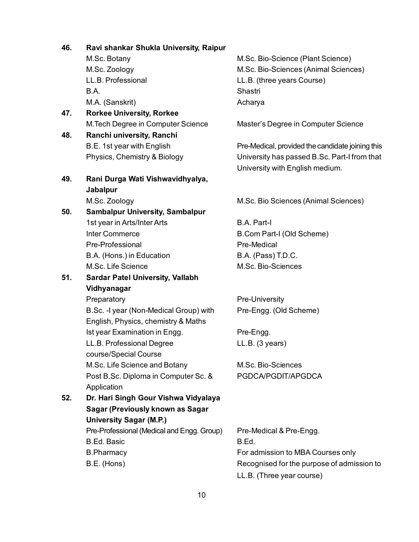**46. Ravi shankar Shukla University, Raipur**

- B.A. Shastri M.A. (Sanskrit) and a control of the Acharya
- **47. Rorkee University, Rorkee**
- **48. Ranchi university, Ranchi**

# **49. Rani Durga Wati Vishwavidhyalya, Jabalpur**

**50. Sambalpur University, Sambalpur** 1st year in Arts/Inter Arts B.A. Part-I Inter Commerce B.Com Part-I (Old Scheme) Pre-Professional and Pre-Medical B.A. (Hons.) in Education B.A. (Pass) T.D.C. M.Sc. Life Science M.Sc. Bio-Sciences

## **51. Sardar Patel University, Vallabh Vidhyanagar**

B.Sc. -I year (Non-Medical Group) with Pre-Engg. (Old Scheme) English, Physics, chemistry & Maths Ist year Examination in Engg. The Pre-Engg. LL.B. Professional Degree LL.B. (3 years) course/Special Course M.Sc. Life Science and Botany M.Sc. Bio-Sciences Post B.Sc. Diploma in Computer Sc. & PGDCA/PGDIT/APGDCA Application

**52. Dr. Hari Singh Gour Vishwa Vidyalaya Sagar (Previously known as Sagar University Sagar (M.P.)** Pre-Professional (Medical and Engg. Group) Pre-Medical & Pre-Engg. B.Ed. Basic B.Ed. B.Pharmacy For admission to MBA Courses only

M.Sc. Botany M.Sc. Bio-Science (Plant Science) M.Sc. Zoology M.Sc. Bio-Sciences (Animal Sciences) LL.B. Professional LL.B. (three years Course)

M.Tech Degree in Computer Science Master's Degree in Computer Science

B.E. 1st year with English Pre-Medical, provided the candidate joining this Physics, Chemistry & Biology University has passed B.Sc. Part-I from that University with English medium.

M.Sc. Zoology M.Sc. Bio Sciences (Animal Sciences)

Preparatory **Pre-University** 

B.E. (Hons) **Recognised for the purpose of admission to** Recognised for the purpose of admission to LL.B. (Three year course)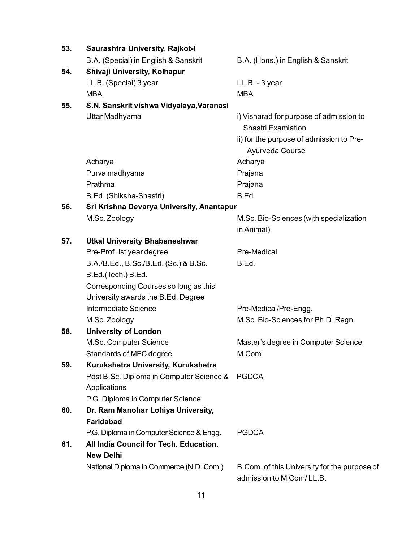| 53. | <b>Saurashtra University, Rajkot-I</b>                   |                                                                                                                                     |
|-----|----------------------------------------------------------|-------------------------------------------------------------------------------------------------------------------------------------|
|     | B.A. (Special) in English & Sanskrit                     | B.A. (Hons.) in English & Sanskrit                                                                                                  |
| 54. | Shivaji University, Kolhapur                             |                                                                                                                                     |
|     | LL.B. (Special) 3 year                                   | LL.B. - 3 year                                                                                                                      |
|     | <b>MBA</b>                                               | <b>MBA</b>                                                                                                                          |
| 55. | S.N. Sanskrit vishwa Vidyalaya, Varanasi                 |                                                                                                                                     |
|     | Uttar Madhyama                                           | i) Visharad for purpose of admission to<br><b>Shastri Examiation</b><br>ii) for the purpose of admission to Pre-<br>Ayurveda Course |
|     | Acharya                                                  | Acharya                                                                                                                             |
|     | Purva madhyama                                           | Prajana                                                                                                                             |
|     | Prathma                                                  | Prajana                                                                                                                             |
|     | B.Ed. (Shiksha-Shastri)                                  | B.Ed.                                                                                                                               |
| 56. | Sri Krishna Devarya University, Anantapur                |                                                                                                                                     |
|     | M.Sc. Zoology                                            | M.Sc. Bio-Sciences (with specialization<br>in Animal)                                                                               |
| 57. | <b>Utkal University Bhabaneshwar</b>                     |                                                                                                                                     |
|     | Pre-Prof. Ist year degree                                | Pre-Medical                                                                                                                         |
|     | B.A./B.Ed., B.Sc./B.Ed. (Sc.) & B.Sc.                    | B.Ed.                                                                                                                               |
|     | B.Ed.(Tech.) B.Ed.                                       |                                                                                                                                     |
|     | Corresponding Courses so long as this                    |                                                                                                                                     |
|     | University awards the B.Ed. Degree                       |                                                                                                                                     |
|     | Intermediate Science                                     | Pre-Medical/Pre-Engg.                                                                                                               |
|     | M.Sc. Zoology                                            | M.Sc. Bio-Sciences for Ph.D. Regn.                                                                                                  |
| 58. | <b>University of London</b>                              |                                                                                                                                     |
|     | M.Sc. Computer Science                                   | Master's degree in Computer Science                                                                                                 |
|     | Standards of MFC degree                                  | M.Com                                                                                                                               |
| 59. | Kurukshetra University, Kurukshetra                      |                                                                                                                                     |
|     | Post B.Sc. Diploma in Computer Science &<br>Applications | <b>PGDCA</b>                                                                                                                        |
|     | P.G. Diploma in Computer Science                         |                                                                                                                                     |
| 60. | Dr. Ram Manohar Lohiya University,                       |                                                                                                                                     |
|     | <b>Faridabad</b>                                         |                                                                                                                                     |
|     | P.G. Diploma in Computer Science & Engg.                 | <b>PGDCA</b>                                                                                                                        |
| 61. | All India Council for Tech. Education,                   |                                                                                                                                     |
|     | <b>New Delhi</b>                                         |                                                                                                                                     |
|     | National Diploma in Commerce (N.D. Com.)                 | B.Com. of this University for the purpose of<br>admission to M.Com/LL.B.                                                            |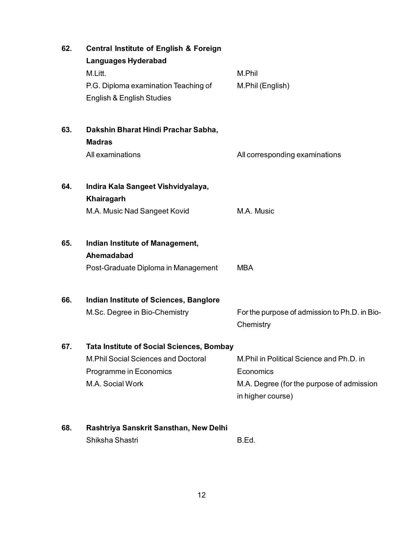| 62. | <b>Central Institute of English &amp; Foreign</b> |                                                            |
|-----|---------------------------------------------------|------------------------------------------------------------|
|     | <b>Languages Hyderabad</b>                        |                                                            |
|     | M.Litt.                                           | M.Phil                                                     |
|     | P.G. Diploma examination Teaching of              | M.Phil (English)                                           |
|     | English & English Studies                         |                                                            |
| 63. | Dakshin Bharat Hindi Prachar Sabha,               |                                                            |
|     | <b>Madras</b>                                     |                                                            |
|     | All examinations                                  | All corresponding examinations                             |
| 64. | Indira Kala Sangeet Vishvidyalaya,                |                                                            |
|     | Khairagarh                                        |                                                            |
|     | M.A. Music Nad Sangeet Kovid                      | M.A. Music                                                 |
| 65. | Indian Institute of Management,                   |                                                            |
|     | Ahemadabad                                        |                                                            |
|     | Post-Graduate Diploma in Management               | <b>MBA</b>                                                 |
| 66. | Indian Institute of Sciences, Banglore            |                                                            |
|     | M.Sc. Degree in Bio-Chemistry                     | For the purpose of admission to Ph.D. in Bio-<br>Chemistry |
| 67. | <b>Tata Institute of Social Sciences, Bombay</b>  |                                                            |
|     | <b>M.Phil Social Sciences and Doctoral</b>        | M.Phil in Political Science and Ph.D. in                   |
|     | Programme in Economics                            | Economics                                                  |
|     | M.A. Social Work                                  | M.A. Degree (for the purpose of admission                  |
|     |                                                   | in higher course)                                          |
| 68. | Rashtriya Sanskrit Sansthan, New Delhi            |                                                            |
|     | Shiksha Shastri                                   | B.Ed.                                                      |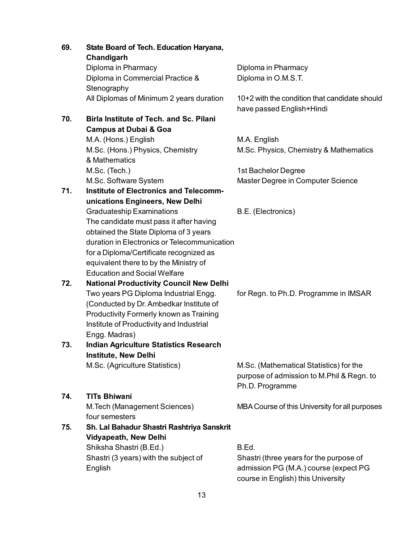| 69. | State Board of Tech. Education Haryana,<br>Chandigarh |                                                                            |
|-----|-------------------------------------------------------|----------------------------------------------------------------------------|
|     | Diploma in Pharmacy                                   | Diploma in Pharmacy                                                        |
|     | Diploma in Commercial Practice &                      | Diploma in O.M.S.T.                                                        |
|     | Stenography                                           |                                                                            |
|     | All Diplomas of Minimum 2 years duration              | 10+2 with the condition that candidate should<br>have passed English+Hindi |
| 70. | <b>Birla Institute of Tech. and Sc. Pilani</b>        |                                                                            |
|     | <b>Campus at Dubai &amp; Goa</b>                      |                                                                            |
|     | M.A. (Hons.) English                                  | M.A. English                                                               |
|     | M.Sc. (Hons.) Physics, Chemistry                      | M.Sc. Physics, Chemistry & Mathematics                                     |
|     | & Mathematics                                         |                                                                            |
|     | M.Sc. (Tech.)                                         | 1st Bachelor Degree                                                        |
|     | M.Sc. Software System                                 | Master Degree in Computer Science                                          |
| 71. | <b>Institute of Electronics and Telecomm-</b>         |                                                                            |
|     | unications Engineers, New Delhi                       |                                                                            |
|     | <b>Graduateship Examinations</b>                      | B.E. (Electronics)                                                         |
|     | The candidate must pass it after having               |                                                                            |
|     | obtained the State Diploma of 3 years                 |                                                                            |
|     | duration in Electronics or Telecommunication          |                                                                            |
|     | for a Diploma/Certificate recognized as               |                                                                            |
|     | equivalent there to by the Ministry of                |                                                                            |
|     | <b>Education and Social Welfare</b>                   |                                                                            |
| 72. | <b>National Productivity Council New Delhi</b>        |                                                                            |
|     | Two years PG Diploma Industrial Engg.                 | for Regn. to Ph.D. Programme in IMSAR                                      |
|     | (Conducted by Dr. Ambedkar Institute of               |                                                                            |
|     | Productivity Formerly known as Training               |                                                                            |
|     | Institute of Productivity and Industrial              |                                                                            |
|     | Engg. Madras)                                         |                                                                            |
| 73. | <b>Indian Agriculture Statistics Research</b>         |                                                                            |
|     | <b>Institute, New Delhi</b>                           |                                                                            |
|     | M.Sc. (Agriculture Statistics)                        | M.Sc. (Mathematical Statistics) for the                                    |
|     |                                                       | purpose of admission to M.Phil & Regn. to                                  |
|     |                                                       | Ph.D. Programme                                                            |
| 74. | <b>TITs Bhiwani</b>                                   |                                                                            |
|     | M. Tech (Management Sciences)                         | MBA Course of this University for all purposes                             |
|     | four semesters                                        |                                                                            |
| 75. | Sh. Lal Bahadur Shastri Rashtriya Sanskrit            |                                                                            |
|     | <b>Vidyapeath, New Delhi</b>                          |                                                                            |
|     | Shiksha Shastri (B.Ed.)                               | B.Ed.                                                                      |
|     | Shastri (3 years) with the subject of                 | Shastri (three years for the purpose of                                    |
|     | English                                               | admission PG (M.A.) course (expect PG                                      |
|     |                                                       | course in English) this University                                         |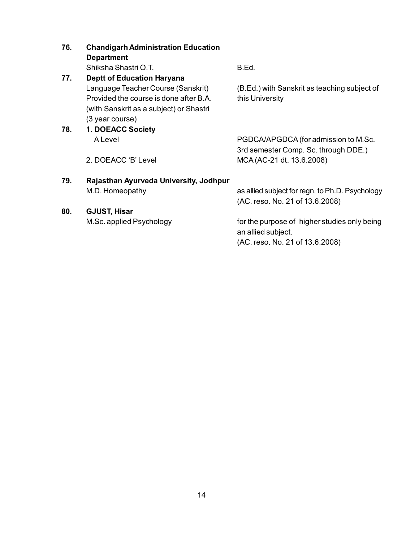| 76. | <b>Chandigarh Administration Education</b> |                                                                                    |  |
|-----|--------------------------------------------|------------------------------------------------------------------------------------|--|
|     | <b>Department</b>                          |                                                                                    |  |
|     | Shiksha Shastri O.T.                       | B.Ed.                                                                              |  |
| 77. | <b>Deptt of Education Haryana</b>          |                                                                                    |  |
|     | Language Teacher Course (Sanskrit)         | (B.Ed.) with Sanskrit as teaching subject of                                       |  |
|     | Provided the course is done after B.A.     | this University                                                                    |  |
|     | (with Sanskrit as a subject) or Shastri    |                                                                                    |  |
|     | (3 year course)                            |                                                                                    |  |
| 78. | 1. DOEACC Society                          |                                                                                    |  |
|     | A Level                                    | PGDCA/APGDCA (for admission to M.Sc.                                               |  |
|     |                                            | 3rd semester Comp. Sc. through DDE.)                                               |  |
|     | 2. DOEACC 'B' Level                        | MCA (AC-21 dt. 13.6.2008)                                                          |  |
| 79. | Rajasthan Ayurveda University, Jodhpur     |                                                                                    |  |
|     | M.D. Homeopathy                            | as allied subject for regn. to Ph.D. Psychology<br>(AC. reso. No. 21 of 13.6.2008) |  |
| 80. | <b>GJUST, Hisar</b>                        |                                                                                    |  |
|     | M.Sc. applied Psychology                   | for the purpose of higher studies only being                                       |  |
|     |                                            | an allied subject.                                                                 |  |

(AC. reso. No. 21 of 13.6.2008)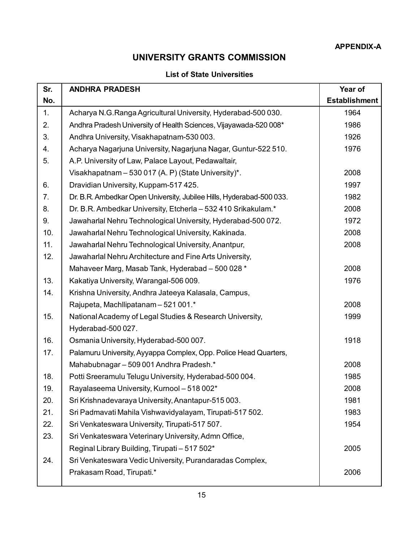# **UNIVERSITY GRANTS COMMISSION**

## **List of State Universities**

| Sr. | <b>ANDHRA PRADESH</b>                                                | Year of              |
|-----|----------------------------------------------------------------------|----------------------|
| No. |                                                                      | <b>Establishment</b> |
| 1.  | Acharya N.G. Ranga Agricultural University, Hyderabad-500 030.       | 1964                 |
| 2.  | Andhra Pradesh University of Health Sciences, Vijayawada-520 008*    | 1986                 |
| 3.  | Andhra University, Visakhapatnam-530 003.                            | 1926                 |
| 4.  | Acharya Nagarjuna University, Nagarjuna Nagar, Guntur-522 510.       | 1976                 |
| 5.  | A.P. University of Law, Palace Layout, Pedawaltair,                  |                      |
|     | Visakhapatnam - 530 017 (A. P) (State University)*.                  | 2008                 |
| 6.  | Dravidian University, Kuppam-517 425.                                | 1997                 |
| 7.  | Dr. B.R. Ambedkar Open University, Jubilee Hills, Hyderabad-500 033. | 1982                 |
| 8.  | Dr. B.R. Ambedkar University, Etcherla - 532 410 Srikakulam.*        | 2008                 |
| 9.  | Jawaharlal Nehru Technological University, Hyderabad-500 072.        | 1972                 |
| 10. | Jawaharlal Nehru Technological University, Kakinada.                 | 2008                 |
| 11. | Jawaharlal Nehru Technological University, Anantpur,                 | 2008                 |
| 12. | Jawaharlal Nehru Architecture and Fine Arts University,              |                      |
|     | Mahaveer Marg, Masab Tank, Hyderabad - 500 028 *                     | 2008                 |
| 13. | Kakatiya University, Warangal-506 009.                               | 1976                 |
| 14. | Krishna University, Andhra Jateeya Kalasala, Campus,                 |                      |
|     | Rajupeta, Machllipatanam - 521 001.*                                 | 2008                 |
| 15. | National Academy of Legal Studies & Research University,             | 1999                 |
|     | Hyderabad-500 027.                                                   |                      |
| 16. | Osmania University, Hyderabad-500 007.                               | 1918                 |
| 17. | Palamuru University, Ayyappa Complex, Opp. Police Head Quarters,     |                      |
|     | Mahabubnagar - 509 001 Andhra Pradesh.*                              | 2008                 |
| 18. | Potti Sreeramulu Telugu University, Hyderabad-500 004.               | 1985                 |
| 19. | Rayalaseema University, Kurnool - 518 002*                           | 2008                 |
| 20. | Sri Krishnadevaraya University, Anantapur-515 003.                   | 1981                 |
| 21. | Sri Padmavati Mahila Vishwavidyalayam, Tirupati-517 502.             | 1983                 |
| 22. | Sri Venkateswara University, Tirupati-517 507.                       | 1954                 |
| 23. | Sri Venkateswara Veterinary University, Admn Office,                 |                      |
|     | Reginal Library Building, Tirupati - 517 502*                        | 2005                 |
| 24. | Sri Venkateswara Vedic University, Purandaradas Complex,             |                      |
|     | Prakasam Road, Tirupati.*                                            | 2006                 |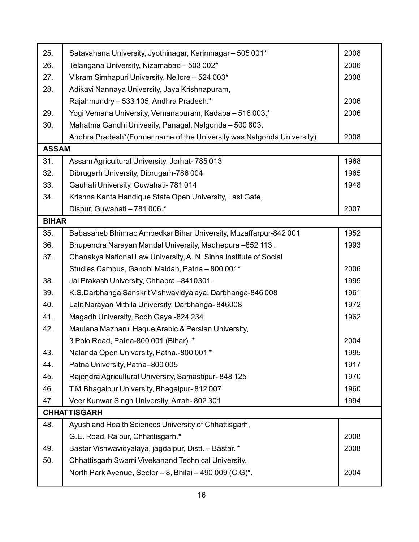| 25.          | Satavahana University, Jyothinagar, Karimnagar - 505 001*              | 2008 |
|--------------|------------------------------------------------------------------------|------|
| 26.          | Telangana University, Nizamabad - 503 002*                             | 2006 |
| 27.          | Vikram Simhapuri University, Nellore - 524 003*                        | 2008 |
| 28.          | Adikavi Nannaya University, Jaya Krishnapuram,                         |      |
|              | Rajahmundry - 533 105, Andhra Pradesh.*                                | 2006 |
| 29.          | Yogi Vemana University, Vemanapuram, Kadapa - 516 003,*                | 2006 |
| 30.          | Mahatma Gandhi Univesity, Panagal, Nalgonda - 500 803,                 |      |
|              | Andhra Pradesh*(Former name of the University was Nalgonda University) | 2008 |
| <b>ASSAM</b> |                                                                        |      |
| 31.          | Assam Agricultural University, Jorhat- 785 013                         | 1968 |
| 32.          | Dibrugarh University, Dibrugarh-786 004                                | 1965 |
| 33.          | Gauhati University, Guwahati- 781 014                                  | 1948 |
| 34.          | Krishna Kanta Handique State Open University, Last Gate,               |      |
|              | Dispur, Guwahati - 781 006.*                                           | 2007 |
| <b>BIHAR</b> |                                                                        |      |
| 35.          | Babasaheb Bhimrao Ambedkar Bihar University, Muzaffarpur-842 001       | 1952 |
| 36.          | Bhupendra Narayan Mandal University, Madhepura -852 113.               | 1993 |
| 37.          | Chanakya National Law University, A. N. Sinha Institute of Social      |      |
|              | Studies Campus, Gandhi Maidan, Patna - 800 001*                        | 2006 |
| 38.          | Jai Prakash University, Chhapra-8410301.                               | 1995 |
| 39.          | K.S.Darbhanga Sanskrit Vishwavidyalaya, Darbhanga-846 008              | 1961 |
| 40.          | Lalit Narayan Mithila University, Darbhanga-846008                     | 1972 |
| 41.          | Magadh University, Bodh Gaya.-824 234                                  | 1962 |
| 42.          | Maulana Mazharul Haque Arabic & Persian University,                    |      |
|              | 3 Polo Road, Patna-800 001 (Bihar). *.                                 | 2004 |
| 43.          | Nalanda Open University, Patna.-800 001*                               | 1995 |
| 44.          | Patna University, Patna-800 005                                        | 1917 |
| 45.          | Rajendra Agricultural University, Samastipur-848 125                   | 1970 |
| 46.          | T.M. Bhagalpur University, Bhagalpur-812007                            | 1960 |
| 47.          | Veer Kunwar Singh University, Arrah-802 301                            | 1994 |
|              | <b>CHHATTISGARH</b>                                                    |      |
| 48.          | Ayush and Health Sciences University of Chhattisgarh,                  |      |
|              | G.E. Road, Raipur, Chhattisgarh.*                                      | 2008 |
| 49.          | Bastar Vishwavidyalaya, jagdalpur, Distt. - Bastar. *                  | 2008 |
| 50.          | Chhattisgarh Swami Vivekanand Technical University,                    |      |
|              | North Park Avenue, Sector - 8, Bhilai - 490 009 (C.G)*.                | 2004 |
|              |                                                                        |      |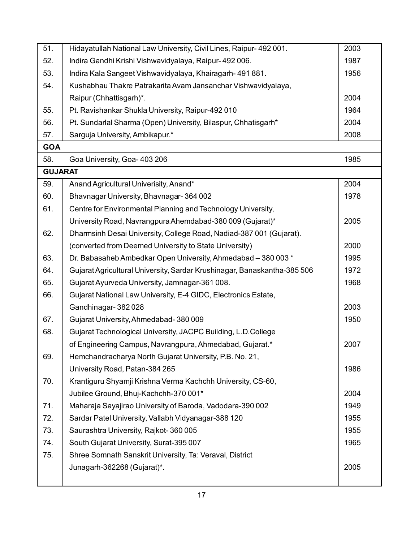| 51.            | Hidayatullah National Law University, Civil Lines, Raipur- 492 001.      | 2003 |
|----------------|--------------------------------------------------------------------------|------|
| 52.            | Indira Gandhi Krishi Vishwavidyalaya, Raipur- 492 006.                   | 1987 |
| 53.            | Indira Kala Sangeet Vishwavidyalaya, Khairagarh-491881.                  | 1956 |
| 54.            | Kushabhau Thakre Patrakarita Avam Jansanchar Vishwavidyalaya,            |      |
|                | Raipur (Chhattisgarh)*.                                                  | 2004 |
| 55.            | Pt. Ravishankar Shukla University, Raipur-492 010                        | 1964 |
| 56.            | Pt. Sundarlal Sharma (Open) University, Bilaspur, Chhatisgarh*           | 2004 |
| 57.            | Sarguja University, Ambikapur.*                                          | 2008 |
| <b>GOA</b>     |                                                                          |      |
| 58.            | Goa University, Goa- 403 206                                             | 1985 |
| <b>GUJARAT</b> |                                                                          |      |
| 59.            | Anand Agricultural Univerisity, Anand*                                   | 2004 |
| 60.            | Bhavnagar University, Bhavnagar-364002                                   | 1978 |
| 61.            | Centre for Environmental Planning and Technology University,             |      |
|                | University Road, Navrangpura Ahemdabad-380 009 (Gujarat)*                | 2005 |
| 62.            | Dharmsinh Desai University, College Road, Nadiad-387 001 (Gujarat).      |      |
|                | (converted from Deemed University to State University)                   | 2000 |
| 63.            | Dr. Babasaheb Ambedkar Open University, Ahmedabad - 380 003 *            | 1995 |
| 64.            | Gujarat Agricultural University, Sardar Krushinagar, Banaskantha-385 506 | 1972 |
| 65.            | Gujarat Ayurveda University, Jamnagar-361 008.                           | 1968 |
| 66.            | Gujarat National Law University, E-4 GIDC, Electronics Estate,           |      |
|                | Gandhinagar-382028                                                       | 2003 |
| 67.            | Gujarat University, Ahmedabad-380009                                     | 1950 |
| 68.            | Gujarat Technological University, JACPC Building, L.D.College            |      |
|                | of Engineering Campus, Navrangpura, Ahmedabad, Gujarat.*                 | 2007 |
| 69.            | Hemchandracharya North Gujarat University, P.B. No. 21,                  |      |
|                | University Road, Patan-384 265                                           | 1986 |
| 70.            | Krantiguru Shyamji Krishna Verma Kachchh University, CS-60,              |      |
|                | Jubilee Ground, Bhuj-Kachchh-370 001*                                    | 2004 |
| 71.            | Maharaja Sayajirao University of Baroda, Vadodara-390 002                | 1949 |
| 72.            | Sardar Patel University, Vallabh Vidyanagar-388 120                      | 1955 |
| 73.            | Saurashtra University, Rajkot-360 005                                    | 1955 |
| 74.            | South Gujarat University, Surat-395 007                                  | 1965 |
| 75.            | Shree Somnath Sanskrit University, Ta: Veraval, District                 |      |
|                | Junagarh-362268 (Gujarat)*.                                              | 2005 |
|                |                                                                          |      |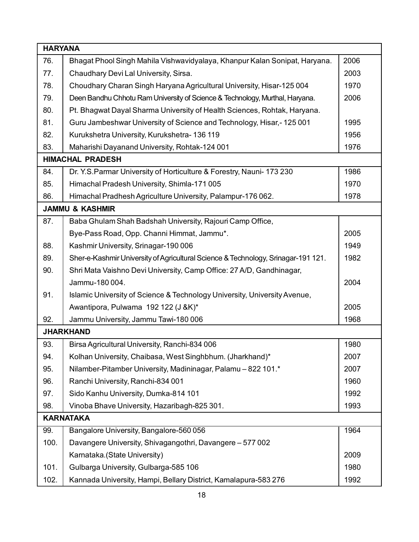| <b>HARYANA</b>   |                                                                                   |      |
|------------------|-----------------------------------------------------------------------------------|------|
| 76.              | Bhagat Phool Singh Mahila Vishwavidyalaya, Khanpur Kalan Sonipat, Haryana.        | 2006 |
| 77.              | Chaudhary Devi Lal University, Sirsa.                                             | 2003 |
| 78.              | Choudhary Charan Singh Haryana Agricultural University, Hisar-125 004             | 1970 |
| 79.              | Deen Bandhu Chhotu Ram University of Science & Technology, Murthal, Haryana.      | 2006 |
| 80.              | Pt. Bhagwat Dayal Sharma University of Health Sciences, Rohtak, Haryana.          |      |
| 81.              | Guru Jambeshwar University of Science and Technology, Hisar,-125001               | 1995 |
| 82.              | Kurukshetra University, Kurukshetra-136119                                        | 1956 |
| 83.              | Maharishi Dayanand University, Rohtak-124 001                                     | 1976 |
|                  | <b>HIMACHAL PRADESH</b>                                                           |      |
| 84.              | Dr. Y.S. Parmar University of Horticulture & Forestry, Nauni-173 230              | 1986 |
| 85.              | Himachal Pradesh University, Shimla-171 005                                       | 1970 |
| 86.              | Himachal Pradhesh Agriculture University, Palampur-176 062.                       | 1978 |
|                  | <b>JAMMU &amp; KASHMIR</b>                                                        |      |
| 87.              | Baba Ghulam Shah Badshah University, Rajouri Camp Office,                         |      |
|                  | Bye-Pass Road, Opp. Channi Himmat, Jammu*.                                        | 2005 |
| 88.              | Kashmir University, Srinagar-190 006                                              | 1949 |
| 89.              | Sher-e-Kashmir University of Agricultural Science & Technology, Srinagar-191 121. | 1982 |
| 90.              | Shri Mata Vaishno Devi University, Camp Office: 27 A/D, Gandhinagar,              |      |
|                  | Jammu-180 004.                                                                    | 2004 |
| 91.              | Islamic University of Science & Technology University, University Avenue,         |      |
|                  | Awantipora, Pulwama 192 122 (J &K)*                                               | 2005 |
| 92.              | Jammu University, Jammu Tawi-180 006                                              | 1968 |
|                  | <b>JHARKHAND</b>                                                                  |      |
| 93.              | Birsa Agricultural University, Ranchi-834 006                                     | 1980 |
| 94.              | Kolhan University, Chaibasa, West Singhbhum. (Jharkhand)*                         | 2007 |
| 95.              | Nilamber-Pitamber University, Madininagar, Palamu - 822 101.*                     | 2007 |
| 96.              | Ranchi University, Ranchi-834 001                                                 | 1960 |
| 97.              | Sido Kanhu University, Dumka-814 101                                              | 1992 |
| 98.              | Vinoba Bhave University, Hazaribagh-825 301.                                      | 1993 |
| <b>KARNATAKA</b> |                                                                                   |      |
| 99.              | Bangalore University, Bangalore-560 056                                           | 1964 |
| 100.             | Davangere University, Shivagangothri, Davangere - 577 002                         |      |
|                  | Karnataka.(State University)                                                      | 2009 |
| 101.             | Gulbarga University, Gulbarga-585 106                                             | 1980 |
| 102.             | Kannada University, Hampi, Bellary District, Kamalapura-583 276                   | 1992 |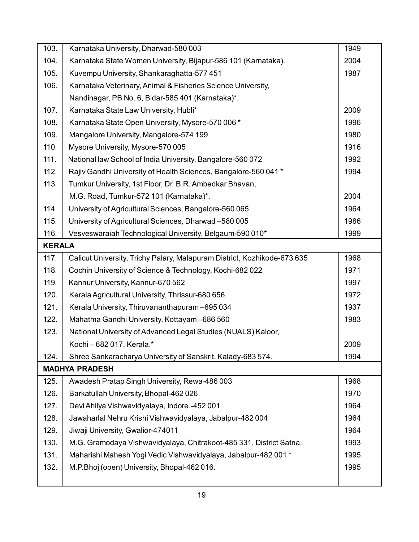| 103.          | Karnataka University, Dharwad-580 003                                    | 1949 |
|---------------|--------------------------------------------------------------------------|------|
| 104.          | Karnataka State Women University, Bijapur-586 101 (Karnataka).           | 2004 |
| 105.          | Kuvempu University, Shankaraghatta-577 451                               | 1987 |
| 106.          | Karnataka Veterinary, Animal & Fisheries Science University,             |      |
|               | Nandinagar, PB No. 6, Bidar-585 401 (Karnataka)*.                        |      |
| 107.          | Karnataka State Law University, Hubli*                                   | 2009 |
| 108.          | Karnataka State Open University, Mysore-570 006 *                        | 1996 |
| 109.          | Mangalore University, Mangalore-574 199                                  | 1980 |
| 110.          | Mysore University, Mysore-570 005                                        | 1916 |
| 111.          | National law School of India University, Bangalore-560 072               | 1992 |
| 112.          | Rajiv Gandhi University of Health Sciences, Bangalore-560 041 *          | 1994 |
| 113.          | Tumkur University, 1st Floor, Dr. B.R. Ambedkar Bhavan,                  |      |
|               | M.G. Road, Tumkur-572 101 (Karnataka)*.                                  | 2004 |
| 114.          | University of Agricultural Sciences, Bangalore-560 065                   | 1964 |
| 115.          | University of Agricultural Sciences, Dharwad -580 005                    | 1986 |
| 116.          | Vesveswaraiah Technological University, Belgaum-590 010*                 | 1999 |
| <b>KERALA</b> |                                                                          |      |
| 117.          | Calicut University, Trichy Palary, Malapuram District, Kozhikode-673 635 | 1968 |
| 118.          | Cochin University of Science & Technology, Kochi-682 022                 | 1971 |
| 119.          | Kannur University, Kannur-670 562                                        | 1997 |
| 120.          | Kerala Agricultural University, Thrissur-680 656                         | 1972 |
| 121.          | Kerala University, Thiruvananthapuram-695 034                            | 1937 |
| 122.          | Mahatma Gandhi University, Kottayam-686 560                              | 1983 |
| 123.          | National University of Advanced Legal Studies (NUALS) Kaloor,            |      |
|               | Kochi-682017, Kerala.*                                                   | 2009 |
| 124.          | Shree Sankaracharya University of Sanskrit, Kalady-683 574.              | 1994 |
|               | <b>MADHYA PRADESH</b>                                                    |      |
| 125.          | Awadesh Pratap Singh University, Rewa-486 003                            | 1968 |
| 126.          | Barkatullah University, Bhopal-462026.                                   | 1970 |
| 127.          | Devi Ahilya Vishwavidyalaya, Indore.-452 001                             | 1964 |
| 128.          | Jawaharlal Nehru Krishi Vishwavidyalaya, Jabalpur-482 004                | 1964 |
| 129.          | Jiwaji University, Gwalior-474011                                        | 1964 |
| 130.          | M.G. Gramodaya Vishwavidyalaya, Chitrakoot-485 331, District Satna.      | 1993 |
| 131.          | Maharishi Mahesh Yogi Vedic Vishwavidyalaya, Jabalpur-482 001 *          | 1995 |
| 132.          | M.P.Bhoj (open) University, Bhopal-462 016.                              | 1995 |
|               |                                                                          |      |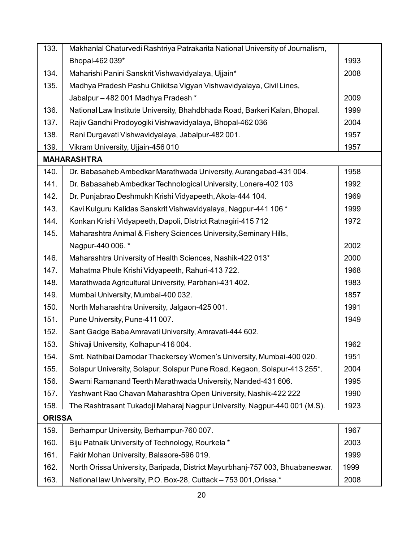| 133.          | Makhanlal Chaturvedi Rashtriya Patrakarita National University of Journalism, |      |
|---------------|-------------------------------------------------------------------------------|------|
|               | Bhopal-462 039*                                                               | 1993 |
| 134.          | Maharishi Panini Sanskrit Vishwavidyalaya, Ujjain*                            | 2008 |
| 135.          | Madhya Pradesh Pashu Chikitsa Vigyan Vishwavidyalaya, Civil Lines,            |      |
|               | Jabalpur-482 001 Madhya Pradesh*                                              | 2009 |
| 136.          | National Law Institute University, Bhahdbhada Road, Barkeri Kalan, Bhopal.    | 1999 |
| 137.          | Rajiv Gandhi Prodoyogiki Vishwavidyalaya, Bhopal-462 036                      | 2004 |
| 138.          | Rani Durgavati Vishwavidyalaya, Jabalpur-482 001.                             | 1957 |
| 139.          | Vikram University, Ujjain-456 010                                             | 1957 |
|               | <b>MAHARASHTRA</b>                                                            |      |
| 140.          | Dr. Babasaheb Ambedkar Marathwada University, Aurangabad-431 004.             | 1958 |
| 141.          | Dr. Babasaheb Ambedkar Technological University, Lonere-402 103               | 1992 |
| 142.          | Dr. Punjabrao Deshmukh Krishi Vidyapeeth, Akola-444 104.                      | 1969 |
| 143.          | Kavi Kulguru Kalidas Sanskrit Vishwavidyalaya, Nagpur-441 106 *               | 1999 |
| 144.          | Konkan Krishi Vidyapeeth, Dapoli, District Ratnagiri-415 712                  | 1972 |
| 145.          | Maharashtra Animal & Fishery Sciences University, Seminary Hills,             |      |
|               | Nagpur-440 006. *                                                             | 2002 |
| 146.          | Maharashtra University of Health Sciences, Nashik-422 013*                    | 2000 |
| 147.          | Mahatma Phule Krishi Vidyapeeth, Rahuri-413722.                               | 1968 |
| 148.          | Marathwada Agricultural University, Parbhani-431 402.                         | 1983 |
| 149.          | Mumbai University, Mumbai-400 032.                                            | 1857 |
| 150.          | North Maharashtra University, Jalgaon-425 001.                                | 1991 |
| 151.          | Pune University, Pune-411 007.                                                | 1949 |
| 152.          | Sant Gadge Baba Amravati University, Amravati-444 602.                        |      |
| 153.          | Shivaji University, Kolhapur-416 004.                                         | 1962 |
| 154.          | Smt. Nathibai Damodar Thackersey Women's University, Mumbai-400 020.          | 1951 |
| 155.          | Solapur University, Solapur, Solapur Pune Road, Kegaon, Solapur-413 255*.     | 2004 |
| 156.          | Swami Ramanand Teerth Marathwada University, Nanded-431 606.                  | 1995 |
| 157.          | Yashwant Rao Chavan Maharashtra Open University, Nashik-422 222               | 1990 |
| 158.          | The Rashtrasant Tukadoji Maharaj Nagpur University, Nagpur-440 001 (M.S).     | 1923 |
| <b>ORISSA</b> |                                                                               |      |
| 159.          | Berhampur University, Berhampur-760 007.                                      | 1967 |
| 160.          | Biju Patnaik University of Technology, Rourkela *                             | 2003 |
| 161.          | Fakir Mohan University, Balasore-596 019.                                     | 1999 |
| 162.          | North Orissa University, Baripada, District Mayurbhanj-757 003, Bhuabaneswar. | 1999 |
| 163.          | National law University, P.O. Box-28, Cuttack - 753 001, Orissa.*             | 2008 |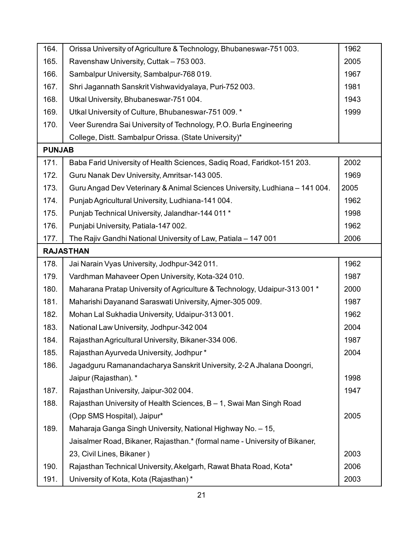| 164.          | Orissa University of Agriculture & Technology, Bhubaneswar-751 003.         | 1962 |
|---------------|-----------------------------------------------------------------------------|------|
| 165.          | Ravenshaw University, Cuttak - 753 003.                                     | 2005 |
| 166.          | Sambalpur University, Sambalpur-768 019.                                    | 1967 |
| 167.          | Shri Jagannath Sanskrit Vishwavidyalaya, Puri-752 003.                      | 1981 |
| 168.          | Utkal University, Bhubaneswar-751 004.                                      | 1943 |
| 169.          | Utkal University of Culture, Bhubaneswar-751 009. *                         | 1999 |
| 170.          | Veer Surendra Sai University of Technology, P.O. Burla Engineering          |      |
|               | College, Distt. Sambalpur Orissa. (State University)*                       |      |
| <b>PUNJAB</b> |                                                                             |      |
| 171.          | Baba Farid University of Health Sciences, Sadiq Road, Faridkot-151 203.     | 2002 |
| 172.          | Guru Nanak Dev University, Amritsar-143 005.                                | 1969 |
| 173.          | Guru Angad Dev Veterinary & Animal Sciences University, Ludhiana - 141 004. | 2005 |
| 174.          | Punjab Agricultural University, Ludhiana-141 004.                           | 1962 |
| 175.          | Punjab Technical University, Jalandhar-144 011 *                            | 1998 |
| 176.          | Punjabi University, Patiala-147 002.                                        | 1962 |
| 177.          | The Rajiv Gandhi National University of Law, Patiala - 147 001              | 2006 |
|               | <b>RAJASTHAN</b>                                                            |      |
| 178.          | Jai Narain Vyas University, Jodhpur-342 011.                                | 1962 |
| 179.          | Vardhman Mahaveer Open University, Kota-324 010.                            | 1987 |
| 180.          | Maharana Pratap University of Agriculture & Technology, Udaipur-313 001 *   | 2000 |
| 181.          | Maharishi Dayanand Saraswati University, Ajmer-305 009.                     | 1987 |
| 182.          | Mohan Lal Sukhadia University, Udaipur-313001.                              | 1962 |
| 183.          | National Law University, Jodhpur-342 004                                    | 2004 |
| 184.          | Rajasthan Agricultural University, Bikaner-334 006.                         | 1987 |
| 185.          | Rajasthan Ayurveda University, Jodhpur*                                     | 2004 |
| 186.          | Jagadguru Ramanandacharya Sanskrit University, 2-2 A Jhalana Doongri,       |      |
|               | Jaipur (Rajasthan). *                                                       | 1998 |
| 187.          | Rajasthan University, Jaipur-302004.                                        | 1947 |
| 188.          | Rajasthan University of Health Sciences, B - 1, Swai Man Singh Road         |      |
|               | (Opp SMS Hospital), Jaipur*                                                 | 2005 |
| 189.          | Maharaja Ganga Singh University, National Highway No. - 15,                 |      |
|               | Jaisalmer Road, Bikaner, Rajasthan.* (formal name - University of Bikaner,  |      |
|               | 23, Civil Lines, Bikaner)                                                   | 2003 |
| 190.          | Rajasthan Technical University, Akelgarh, Rawat Bhata Road, Kota*           | 2006 |
| 191.          | University of Kota, Kota (Rajasthan)*                                       | 2003 |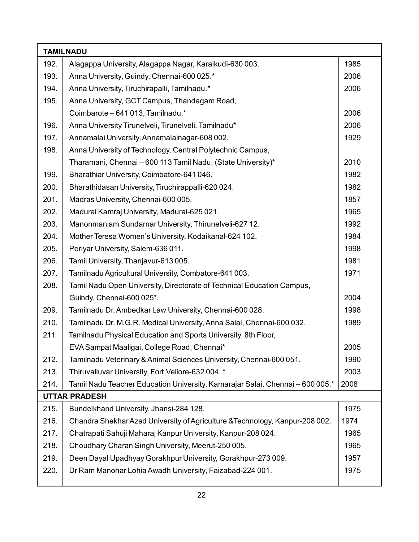| <b>TAMILNADU</b> |                                                                               |      |
|------------------|-------------------------------------------------------------------------------|------|
| 192.             | Alagappa University, Alagappa Nagar, Karaikudi-630 003.                       | 1985 |
| 193.             | Anna University, Guindy, Chennai-600 025.*                                    | 2006 |
| 194.             | Anna University, Tiruchirapalli, Tamilnadu.*                                  | 2006 |
| 195.             | Anna University, GCT Campus, Thandagam Road,                                  |      |
|                  | Coimbarote - 641 013, Tamilnadu.*                                             | 2006 |
| 196.             | Anna University Tirunelveli, Tirunelveli, Tamilnadu*                          | 2006 |
| 197.             | Annamalai University, Annamalainagar-608 002.                                 | 1929 |
| 198.             | Anna University of Technology, Central Polytechnic Campus,                    |      |
|                  | Tharamani, Chennai - 600 113 Tamil Nadu. (State University)*                  | 2010 |
| 199.             | Bharathiar University, Coimbatore-641 046.                                    | 1982 |
| 200.             | Bharathidasan University, Tiruchirappalli-620 024.                            | 1982 |
| 201.             | Madras University, Chennai-600 005.                                           | 1857 |
| 202.             | Madurai Kamraj University, Madurai-625 021.                                   | 1965 |
| 203.             | Manonmaniam Sundarnar University, Thirunelveli-627 12.                        | 1992 |
| 204.             | Mother Teresa Women's University, Kodaikanal-624 102.                         | 1984 |
| 205.             | Periyar University, Salem-636 011.                                            | 1998 |
| 206.             | Tamil University, Thanjavur-613 005.                                          | 1981 |
| 207.             | Tamilnadu Agricultural University, Combatore-641 003.                         | 1971 |
| 208.             | Tamil Nadu Open University, Directorate of Technical Education Campus,        |      |
|                  | Guindy, Chennai-600 025*.                                                     | 2004 |
| 209.             | Tamilnadu Dr. Ambedkar Law University, Chennai-600 028.                       | 1998 |
| 210.             | Tamilnadu Dr. M.G.R. Medical University, Anna Salai, Chennai-600 032.         | 1989 |
| 211.             | Tamilnadu Physical Education and Sports University, 8th Floor,                |      |
|                  | EVA Sampat Maaligai, College Road, Chennai*                                   | 2005 |
| 212.             | Tamilnadu Veterinary & Animal Sciences University, Chennai-600 051.           | 1990 |
| 213.             | Thiruvalluvar University, Fort, Vellore-632 004. *                            | 2003 |
| 214.             | Tamil Nadu Teacher Education University, Kamarajar Salai, Chennai - 600 005.* | 2008 |
|                  | <b>UTTAR PRADESH</b>                                                          |      |
| 215.             | Bundelkhand University, Jhansi-284 128.                                       | 1975 |
| 216.             | Chandra Shekhar Azad University of Agriculture & Technology, Kanpur-208 002.  | 1974 |
| 217.             | Chatrapati Sahuji Maharaj Kanpur University, Kanpur-208 024.                  | 1965 |
| 218.             | Choudhary Charan Singh University, Meerut-250 005.                            | 1965 |
| 219.             | Deen Dayal Upadhyay Gorakhpur University, Gorakhpur-273 009.                  | 1957 |
| 220.             | Dr Ram Manohar Lohia Awadh University, Faizabad-224 001.                      | 1975 |
|                  |                                                                               |      |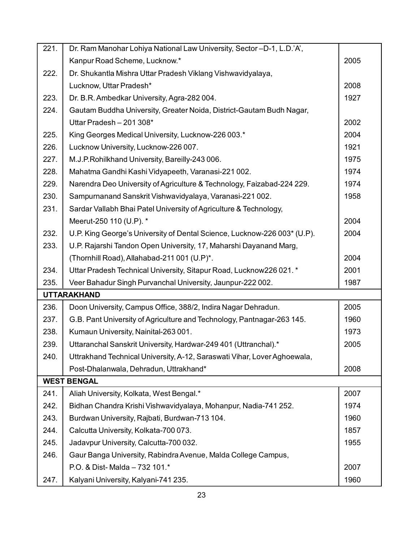| 221. | Dr. Ram Manohar Lohiya National Law University, Sector-D-1, L.D.'A',     |      |
|------|--------------------------------------------------------------------------|------|
|      | Kanpur Road Scheme, Lucknow.*                                            | 2005 |
| 222. | Dr. Shukantla Mishra Uttar Pradesh Viklang Vishwavidyalaya,              |      |
|      | Lucknow, Uttar Pradesh*                                                  | 2008 |
| 223. | Dr. B.R. Ambedkar University, Agra-282 004.                              | 1927 |
| 224. | Gautam Buddha University, Greater Noida, District-Gautam Budh Nagar,     |      |
|      | Uttar Pradesh - 201 308*                                                 | 2002 |
| 225. | King Georges Medical University, Lucknow-226 003.*                       | 2004 |
| 226. | Lucknow University, Lucknow-226 007.                                     | 1921 |
| 227. | M.J.P.Rohilkhand University, Bareilly-243 006.                           | 1975 |
| 228. | Mahatma Gandhi Kashi Vidyapeeth, Varanasi-221 002.                       | 1974 |
| 229. | Narendra Deo University of Agriculture & Technology, Faizabad-224 229.   | 1974 |
| 230. | Sampurnanand Sanskrit Vishwavidyalaya, Varanasi-221 002.                 | 1958 |
| 231. | Sardar Vallabh Bhai Patel University of Agriculture & Technology,        |      |
|      | Meerut-250 110 (U.P). *                                                  | 2004 |
| 232. | U.P. King George's University of Dental Science, Lucknow-226 003* (U.P). | 2004 |
| 233. | U.P. Rajarshi Tandon Open University, 17, Maharshi Dayanand Marg,        |      |
|      | (Thornhill Road), Allahabad-211 001 (U.P)*.                              | 2004 |
| 234. | Uttar Pradesh Technical University, Sitapur Road, Lucknow 226 021. *     | 2001 |
| 235. | Veer Bahadur Singh Purvanchal University, Jaunpur-222 002.               | 1987 |
|      | <b>UTTARAKHAND</b>                                                       |      |
| 236. | Doon University, Campus Office, 388/2, Indira Nagar Dehradun.            | 2005 |
| 237. | G.B. Pant University of Agriculture and Technology, Pantnagar-263 145.   | 1960 |
| 238. | Kumaun University, Nainital-263 001.                                     | 1973 |
| 239. | Uttaranchal Sanskrit University, Hardwar-249 401 (Uttranchal).*          | 2005 |
| 240. | Uttrakhand Technical University, A-12, Saraswati Vihar, Lover Aghoewala, |      |
|      | Post-Dhalanwala, Dehradun, Uttrakhand*                                   | 2008 |
|      | <b>WEST BENGAL</b>                                                       |      |
| 241. | Aliah University, Kolkata, West Bengal.*                                 | 2007 |
| 242. | Bidhan Chandra Krishi Vishwavidyalaya, Mohanpur, Nadia-741 252.          | 1974 |
| 243. | Burdwan University, Rajbati, Burdwan-713 104.                            | 1960 |
| 244. | Calcutta University, Kolkata-700 073.                                    | 1857 |
| 245. | Jadavpur University, Calcutta-700 032.                                   | 1955 |
| 246. | Gaur Banga University, Rabindra Avenue, Malda College Campus,            |      |
|      | P.O. & Dist-Malda - 732 101.*                                            | 2007 |
| 247. | Kalyani University, Kalyani-741 235.                                     | 1960 |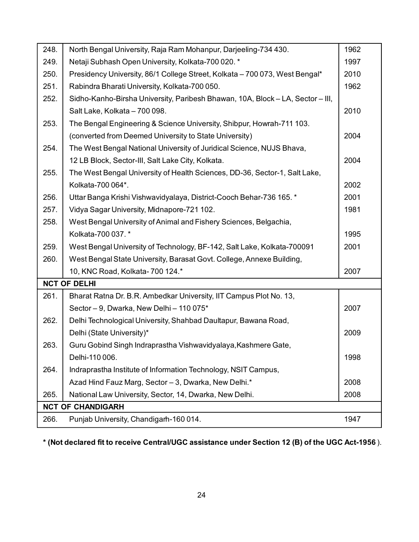| 248. | North Bengal University, Raja Ram Mohanpur, Darjeeling-734 430.                | 1962 |
|------|--------------------------------------------------------------------------------|------|
| 249. | Netaji Subhash Open University, Kolkata-700 020. *                             | 1997 |
| 250. | Presidency University, 86/1 College Street, Kolkata - 700 073, West Bengal*    | 2010 |
| 251. | Rabindra Bharati University, Kolkata-700 050.                                  | 1962 |
| 252. | Sidho-Kanho-Birsha University, Paribesh Bhawan, 10A, Block - LA, Sector - III, |      |
|      | Salt Lake, Kolkata - 700 098.                                                  | 2010 |
| 253. | The Bengal Engineering & Science University, Shibpur, Howrah-711 103.          |      |
|      | (converted from Deemed University to State University)                         | 2004 |
| 254. | The West Bengal National University of Juridical Science, NUJS Bhava,          |      |
|      | 12 LB Block, Sector-III, Salt Lake City, Kolkata.                              | 2004 |
| 255. | The West Bengal University of Health Sciences, DD-36, Sector-1, Salt Lake,     |      |
|      | Kolkata-700 064*.                                                              | 2002 |
| 256. | Uttar Banga Krishi Vishwavidyalaya, District-Cooch Behar-736 165. *            | 2001 |
| 257. | Vidya Sagar University, Midnapore-721 102.                                     | 1981 |
| 258. | West Bengal University of Animal and Fishery Sciences, Belgachia,              |      |
|      | Kolkata-700 037. *                                                             | 1995 |
| 259. | West Bengal University of Technology, BF-142, Salt Lake, Kolkata-700091        | 2001 |
| 260. | West Bengal State University, Barasat Govt. College, Annexe Building,          |      |
|      | 10, KNC Road, Kolkata- 700 124.*                                               | 2007 |
|      | <b>NCT OF DELHI</b>                                                            |      |
| 261. | Bharat Ratna Dr. B.R. Ambedkar University, IIT Campus Plot No. 13,             |      |
|      | Sector - 9, Dwarka, New Delhi - 110 075*                                       | 2007 |
| 262. | Delhi Technological University, Shahbad Daultapur, Bawana Road,                |      |
|      | Delhi (State University)*                                                      | 2009 |
| 263. | Guru Gobind Singh Indraprastha Vishwavidyalaya, Kashmere Gate,                 |      |
|      | Delhi-110 006.                                                                 | 1998 |
| 264. | Indraprastha Institute of Information Technology, NSIT Campus,                 |      |
|      | Azad Hind Fauz Marg, Sector - 3, Dwarka, New Delhi.*                           | 2008 |
| 265. | National Law University, Sector, 14, Dwarka, New Delhi.                        | 2008 |
|      | <b>NCT OF CHANDIGARH</b>                                                       |      |
| 266. | Punjab University, Chandigarh-160 014.                                         | 1947 |

**\* (Not declared fit to receive Central/UGC assistance under Section 12 (B) of the UGC Act-1956** ).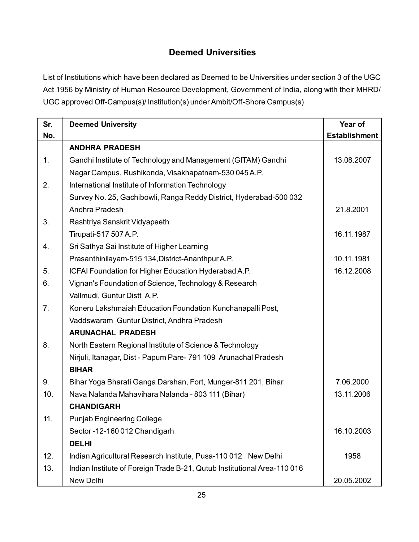# **Deemed Universities**

List of Institutions which have been declared as Deemed to be Universities under section 3 of the UGC Act 1956 by Ministry of Human Resource Development, Government of India, along with their MHRD/ UGC approved Off-Campus(s)/ Institution(s) under Ambit/Off-Shore Campus(s)

| Sr. | <b>Deemed University</b>                                                 | Year of              |
|-----|--------------------------------------------------------------------------|----------------------|
| No. |                                                                          | <b>Establishment</b> |
|     | <b>ANDHRA PRADESH</b>                                                    |                      |
| 1.  | Gandhi Institute of Technology and Management (GITAM) Gandhi             | 13.08.2007           |
|     | Nagar Campus, Rushikonda, Visakhapatnam-530 045 A.P.                     |                      |
| 2.  | International Institute of Information Technology                        |                      |
|     | Survey No. 25, Gachibowli, Ranga Reddy District, Hyderabad-500 032       |                      |
|     | Andhra Pradesh                                                           | 21.8.2001            |
| 3.  | Rashtriya Sanskrit Vidyapeeth                                            |                      |
|     | Tirupati-517 507 A.P.                                                    | 16.11.1987           |
| 4.  | Sri Sathya Sai Institute of Higher Learning                              |                      |
|     | Prasanthinilayam-515 134, District-Ananthpur A.P.                        | 10.11.1981           |
| 5.  | ICFAI Foundation for Higher Education Hyderabad A.P.                     | 16.12.2008           |
| 6.  | Vignan's Foundation of Science, Technology & Research                    |                      |
|     | Vallmudi, Guntur Distt A.P.                                              |                      |
| 7.  | Koneru Lakshmaiah Education Foundation Kunchanapalli Post,               |                      |
|     | Vaddswaram Guntur District, Andhra Pradesh                               |                      |
|     | <b>ARUNACHAL PRADESH</b>                                                 |                      |
| 8.  | North Eastern Regional Institute of Science & Technology                 |                      |
|     | Nirjuli, Itanagar, Dist - Papum Pare- 791 109 Arunachal Pradesh          |                      |
|     | <b>BIHAR</b>                                                             |                      |
| 9.  | Bihar Yoga Bharati Ganga Darshan, Fort, Munger-811 201, Bihar            | 7.06.2000            |
| 10. | Nava Nalanda Mahavihara Nalanda - 803 111 (Bihar)                        | 13.11.2006           |
|     | <b>CHANDIGARH</b>                                                        |                      |
| 11. | <b>Punjab Engineering College</b>                                        |                      |
|     | Sector -12-160 012 Chandigarh                                            | 16.10.2003           |
|     | <b>DELHI</b>                                                             |                      |
| 12. | Indian Agricultural Research Institute, Pusa-110 012 New Delhi           | 1958                 |
| 13. | Indian Institute of Foreign Trade B-21, Qutub Institutional Area-110 016 |                      |
|     | New Delhi                                                                | 20.05.2002           |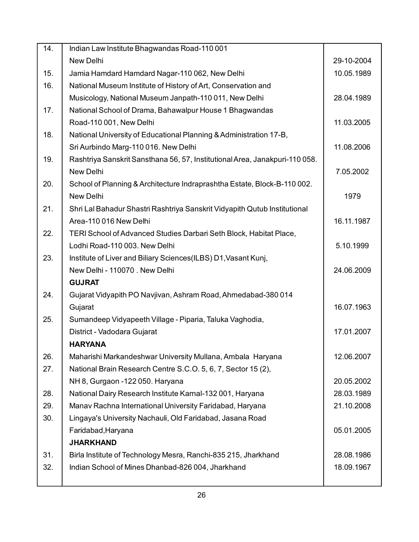| 14. | Indian Law Institute Bhagwandas Road-110 001                                |            |
|-----|-----------------------------------------------------------------------------|------------|
|     | New Delhi                                                                   | 29-10-2004 |
| 15. | Jamia Hamdard Hamdard Nagar-110 062, New Delhi                              | 10.05.1989 |
| 16. | National Museum Institute of History of Art, Conservation and               |            |
|     | Musicology, National Museum Janpath-110 011, New Delhi                      | 28.04.1989 |
| 17. | National School of Drama, Bahawalpur House 1 Bhagwandas                     |            |
|     | Road-110 001, New Delhi                                                     | 11.03.2005 |
| 18. | National University of Educational Planning & Administration 17-B,          |            |
|     | Sri Aurbindo Marg-110 016. New Delhi                                        | 11.08.2006 |
| 19. | Rashtriya Sanskrit Sansthana 56, 57, Institutional Area, Janakpuri-110 058. |            |
|     | New Delhi                                                                   | 7.05.2002  |
| 20. | School of Planning & Architecture Indraprashtha Estate, Block-B-110 002.    |            |
|     | New Delhi                                                                   | 1979       |
| 21. | Shri Lal Bahadur Shastri Rashtriya Sanskrit Vidyapith Qutub Institutional   |            |
|     | Area-110 016 New Delhi                                                      | 16.11.1987 |
| 22. | TERI School of Advanced Studies Darbari Seth Block, Habitat Place,          |            |
|     | Lodhi Road-110 003. New Delhi                                               | 5.10.1999  |
| 23. | Institute of Liver and Biliary Sciences(ILBS) D1, Vasant Kunj,              |            |
|     | New Delhi - 110070 . New Delhi                                              | 24.06.2009 |
|     | <b>GUJRAT</b>                                                               |            |
| 24. | Gujarat Vidyapith PO Navjivan, Ashram Road, Ahmedabad-380 014               |            |
|     | Gujarat                                                                     | 16.07.1963 |
| 25. | Sumandeep Vidyapeeth Village - Piparia, Taluka Vaghodia,                    |            |
|     | District - Vadodara Gujarat                                                 | 17.01.2007 |
|     | <b>HARYANA</b>                                                              |            |
| 26. | Maharishi Markandeshwar University Mullana, Ambala Haryana                  | 12.06.2007 |
| 27. | National Brain Research Centre S.C.O. 5, 6, 7, Sector 15 (2),               |            |
|     | NH 8, Gurgaon -122 050. Haryana                                             | 20.05.2002 |
| 28. | National Dairy Research Institute Karnal-132 001, Haryana                   | 28.03.1989 |
| 29. | Manav Rachna International University Faridabad, Haryana                    | 21.10.2008 |
| 30. | Lingaya's University Nachauli, Old Faridabad, Jasana Road                   |            |
|     | Faridabad, Haryana                                                          | 05.01.2005 |
|     | <b>JHARKHAND</b>                                                            |            |
| 31. | Birla Institute of Technology Mesra, Ranchi-835 215, Jharkhand              | 28.08.1986 |
| 32. | Indian School of Mines Dhanbad-826 004, Jharkhand                           | 18.09.1967 |
|     |                                                                             |            |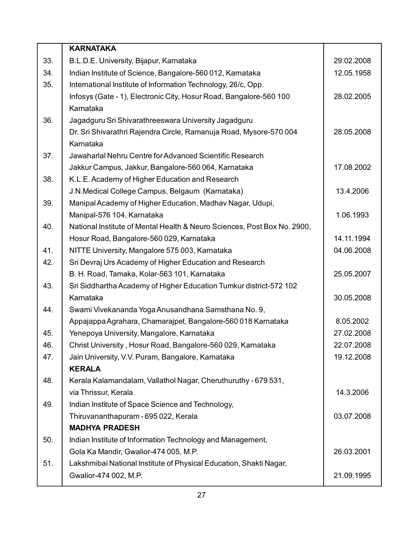|     | <b>KARNATAKA</b>                                                         |            |
|-----|--------------------------------------------------------------------------|------------|
| 33. | B.L.D.E. University, Bijapur, Karnataka                                  | 29.02.2008 |
| 34. | Indian Institute of Science, Bangalore-560 012, Karnataka                | 12.05.1958 |
| 35. | International Institute of Information Technology, 26/c, Opp.            |            |
|     | Infosys (Gate - 1), Electronic City, Hosur Road, Bangalore-560 100       | 28.02.2005 |
|     | Karnataka                                                                |            |
| 36. | Jagadguru Sri Shivarathreeswara University Jagadguru                     |            |
|     | Dr. Sri Shivarathri Rajendra Circle, Ramanuja Road, Mysore-570 004       | 28.05.2008 |
|     | Karnataka                                                                |            |
| 37. | Jawaharlal Nehru Centre for Advanced Scientific Research                 |            |
|     | Jakkur Campus, Jakkur, Bangalore-560 064, Karnataka                      | 17.08.2002 |
| 38. | K.L.E. Academy of Higher Education and Research                          |            |
|     | J.N.Medical College Campus, Belgaum (Karnataka)                          | 13.4.2006  |
| 39. | Manipal Academy of Higher Education, Madhav Nagar, Udupi,                |            |
|     | Manipal-576 104, Karnataka                                               | 1.06.1993  |
| 40. | National Institute of Mental Health & Neuro Sciences, Post Box No. 2900, |            |
|     | Hosur Road, Bangalore-560 029, Karnataka                                 | 14.11.1994 |
| 41. | NITTE University, Mangalore 575 003, Karnataka                           | 04.06.2008 |
| 42. | Sri Devraj Urs Academy of Higher Education and Research                  |            |
|     | B. H. Road, Tamaka, Kolar-563 101, Karnataka                             | 25.05.2007 |
| 43. | Sri Siddhartha Academy of Higher Education Tumkur district-572 102       |            |
|     | Karnataka                                                                | 30.05.2008 |
| 44. | Swami Vivekananda Yoga Anusandhana Samsthana No. 9,                      |            |
|     | Appajappa Agrahara, Chamarajpet, Bangalore-560 018 Karnataka             | 8.05.2002  |
| 45. | Yenepoya University, Mangalore, Karnataka                                | 27.02.2008 |
| 46. | Christ University, Hosur Road, Bangalore-560 029, Karnataka              | 22.07.2008 |
| 47. | Jain University, V.V. Puram, Bangalore, Karnataka                        | 19.12.2008 |
|     | <b>KERALA</b>                                                            |            |
| 48. | Kerala Kalamandalam, Vallathol Nagar, Cheruthuruthy - 679 531,           |            |
|     | via Thrissur, Kerala                                                     | 14.3.2006  |
| 49. | Indian Institute of Space Science and Technology,                        |            |
|     | Thiruvananthapuram - 695 022, Kerala                                     | 03.07.2008 |
|     | <b>MADHYA PRADESH</b>                                                    |            |
| 50. | Indian Institute of Information Technology and Management,               |            |
|     | Gola Ka Mandir, Gwalior-474 005, M.P.                                    | 26.03.2001 |
| 51. | Lakshmibai National Institute of Physical Education, Shakti Nagar,       |            |
|     | Gwalior-474 002, M.P.                                                    | 21.09.1995 |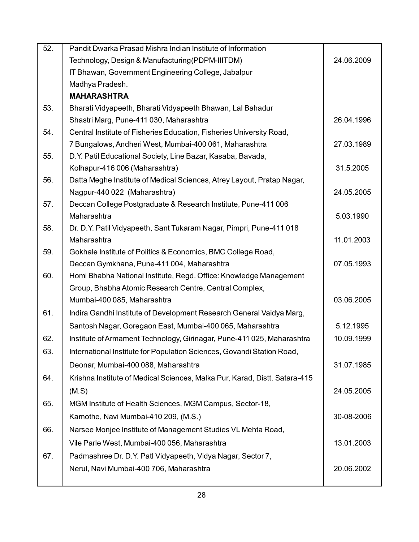| 52. | Pandit Dwarka Prasad Mishra Indian Institute of Information                |            |
|-----|----------------------------------------------------------------------------|------------|
|     | Technology, Design & Manufacturing (PDPM-IIITDM)                           | 24.06.2009 |
|     | IT Bhawan, Government Engineering College, Jabalpur                        |            |
|     | Madhya Pradesh.                                                            |            |
|     | <b>MAHARASHTRA</b>                                                         |            |
| 53. | Bharati Vidyapeeth, Bharati Vidyapeeth Bhawan, Lal Bahadur                 |            |
|     | Shastri Marg, Pune-411 030, Maharashtra                                    | 26.04.1996 |
| 54. | Central Institute of Fisheries Education, Fisheries University Road,       |            |
|     | 7 Bungalows, Andheri West, Mumbai-400 061, Maharashtra                     | 27.03.1989 |
| 55. | D.Y. Patil Educational Society, Line Bazar, Kasaba, Bavada,                |            |
|     | Kolhapur-416 006 (Maharashtra)                                             | 31.5.2005  |
| 56. | Datta Meghe Institute of Medical Sciences, Atrey Layout, Pratap Nagar,     |            |
|     | Nagpur-440 022 (Maharashtra)                                               | 24.05.2005 |
| 57. | Deccan College Postgraduate & Research Institute, Pune-411 006             |            |
|     | Maharashtra                                                                | 5.03.1990  |
| 58. | Dr. D.Y. Patil Vidyapeeth, Sant Tukaram Nagar, Pimpri, Pune-411 018        |            |
|     | Maharashtra                                                                | 11.01.2003 |
| 59. | Gokhale Institute of Politics & Economics, BMC College Road,               |            |
|     | Deccan Gymkhana, Pune-411 004, Maharashtra                                 | 07.05.1993 |
| 60. | Homi Bhabha National Institute, Regd. Office: Knowledge Management         |            |
|     | Group, Bhabha Atomic Research Centre, Central Complex,                     |            |
|     | Mumbai-400 085, Maharashtra                                                | 03.06.2005 |
| 61. | Indira Gandhi Institute of Development Research General Vaidya Marg,       |            |
|     | Santosh Nagar, Goregaon East, Mumbai-400 065, Maharashtra                  | 5.12.1995  |
| 62. | Institute of Armament Technology, Girinagar, Pune-411 025, Maharashtra     | 10.09.1999 |
| 63. | International Institute for Population Sciences, Govandi Station Road,     |            |
|     | Deonar, Mumbai-400 088, Maharashtra                                        | 31.07.1985 |
| 64. | Krishna Institute of Medical Sciences, Malka Pur, Karad, Distt. Satara-415 |            |
|     | (M.S)                                                                      | 24.05.2005 |
| 65. | MGM Institute of Health Sciences, MGM Campus, Sector-18,                   |            |
|     | Kamothe, Navi Mumbai-410 209, (M.S.)                                       | 30-08-2006 |
| 66. | Narsee Monjee Institute of Management Studies VL Mehta Road,               |            |
|     | Vile Parle West, Mumbai-400 056, Maharashtra                               | 13.01.2003 |
|     |                                                                            |            |
| 67. | Padmashree Dr. D.Y. Patl Vidyapeeth, Vidya Nagar, Sector 7,                |            |
|     | Nerul, Navi Mumbai-400 706, Maharashtra                                    | 20.06.2002 |
|     |                                                                            |            |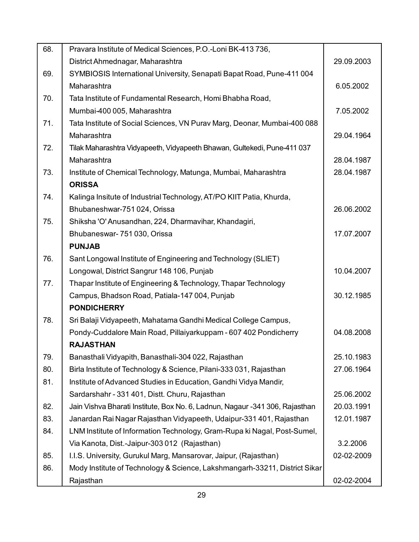| 68. | Pravara Institute of Medical Sciences, P.O.-Loni BK-413 736,                 |            |
|-----|------------------------------------------------------------------------------|------------|
|     | District Ahmednagar, Maharashtra                                             | 29.09.2003 |
| 69. | SYMBIOSIS International University, Senapati Bapat Road, Pune-411 004        |            |
|     | Maharashtra                                                                  | 6.05.2002  |
| 70. | Tata Institute of Fundamental Research, Homi Bhabha Road,                    |            |
|     | Mumbai-400 005, Maharashtra                                                  | 7.05.2002  |
| 71. | Tata Institute of Social Sciences, VN Purav Marg, Deonar, Mumbai-400 088     |            |
|     | Maharashtra                                                                  | 29.04.1964 |
| 72. | Tilak Maharashtra Vidyapeeth, Vidyapeeth Bhawan, Gultekedi, Pune-411 037     |            |
|     | Maharashtra                                                                  | 28.04.1987 |
| 73. | Institute of Chemical Technology, Matunga, Mumbai, Maharashtra               | 28.04.1987 |
|     | <b>ORISSA</b>                                                                |            |
| 74. | Kalinga Insitute of Industrial Technology, AT/PO KIIT Patia, Khurda,         |            |
|     | Bhubaneshwar-751 024, Orissa                                                 | 26.06.2002 |
| 75. | Shiksha 'O' Anusandhan, 224, Dharmavihar, Khandagiri,                        |            |
|     | Bhubaneswar- 751 030, Orissa                                                 | 17.07.2007 |
|     | <b>PUNJAB</b>                                                                |            |
| 76. | Sant Longowal Institute of Engineering and Technology (SLIET)                |            |
|     | Longowal, District Sangrur 148 106, Punjab                                   | 10.04.2007 |
| 77. | Thapar Institute of Engineering & Technology, Thapar Technology              |            |
|     | Campus, Bhadson Road, Patiala-147 004, Punjab                                | 30.12.1985 |
|     | <b>PONDICHERRY</b>                                                           |            |
| 78. | Sri Balaji Vidyapeeth, Mahatama Gandhi Medical College Campus,               |            |
|     | Pondy-Cuddalore Main Road, Pillaiyarkuppam - 607 402 Pondicherry             | 04.08.2008 |
|     | <b>RAJASTHAN</b>                                                             |            |
| 79. | Banasthali Vidyapith, Banasthali-304 022, Rajasthan                          | 25.10.1983 |
| 80. | Birla Institute of Technology & Science, Pilani-333 031, Rajasthan           | 27.06.1964 |
| 81. | Institute of Advanced Studies in Education, Gandhi Vidya Mandir,             |            |
|     | Sardarshahr - 331 401, Distt. Churu, Rajasthan                               | 25.06.2002 |
| 82. | Jain Vishva Bharati Institute, Box No. 6, Ladnun, Nagaur -341 306, Rajasthan | 20.03.1991 |
| 83. | Janardan Rai Nagar Rajasthan Vidyapeeth, Udaipur-331 401, Rajasthan          | 12.01.1987 |
| 84. | LNM Institute of Information Technology, Gram-Rupa ki Nagal, Post-Sumel,     |            |
|     | Via Kanota, Dist.-Jaipur-303 012 (Rajasthan)                                 | 3.2.2006   |
| 85. | I.I.S. University, Gurukul Marg, Mansarovar, Jaipur, (Rajasthan)             | 02-02-2009 |
| 86. | Mody Institute of Technology & Science, Lakshmangarh-33211, District Sikar   |            |
|     | Rajasthan                                                                    | 02-02-2004 |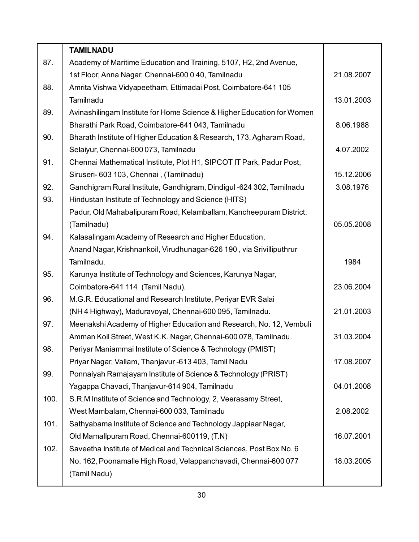|      | <b>TAMILNADU</b>                                                       |            |
|------|------------------------------------------------------------------------|------------|
| 87.  | Academy of Maritime Education and Training, 5107, H2, 2nd Avenue,      |            |
|      | 1st Floor, Anna Nagar, Chennai-600 0 40, Tamilnadu                     | 21.08.2007 |
| 88.  | Amrita Vishwa Vidyapeetham, Ettimadai Post, Coimbatore-641 105         |            |
|      | Tamilnadu                                                              | 13.01.2003 |
| 89.  | Avinashilingam Institute for Home Science & Higher Education for Women |            |
|      | Bharathi Park Road, Coimbatore-641 043, Tamilnadu                      | 8.06.1988  |
| 90.  | Bharath Institute of Higher Education & Research, 173, Agharam Road,   |            |
|      | Selaiyur, Chennai-600 073, Tamilnadu                                   | 4.07.2002  |
| 91.  | Chennai Mathematical Institute, Plot H1, SIPCOT IT Park, Padur Post,   |            |
|      | Siruseri-603 103, Chennai, (Tamilnadu)                                 | 15.12.2006 |
| 92.  | Gandhigram Rural Institute, Gandhigram, Dindigul -624 302, Tamilnadu   | 3.08.1976  |
| 93.  | Hindustan Institute of Technology and Science (HITS)                   |            |
|      | Padur, Old Mahabalipuram Road, Kelamballam, Kancheepuram District.     |            |
|      | (Tamilnadu)                                                            | 05.05.2008 |
| 94.  | Kalasalingam Academy of Research and Higher Education,                 |            |
|      | Anand Nagar, Krishnankoil, Virudhunagar-626 190, via Srivilliputhrur   |            |
|      | Tamilnadu.                                                             | 1984       |
| 95.  | Karunya Institute of Technology and Sciences, Karunya Nagar,           |            |
|      | Coimbatore-641 114 (Tamil Nadu).                                       | 23.06.2004 |
| 96.  | M.G.R. Educational and Research Institute, Periyar EVR Salai           |            |
|      | (NH 4 Highway), Maduravoyal, Chennai-600 095, Tamilnadu.               | 21.01.2003 |
| 97.  | Meenakshi Academy of Higher Education and Research, No. 12, Vembuli    |            |
|      | Amman Koil Street, West K.K. Nagar, Chennai-600 078, Tamilnadu.        | 31.03.2004 |
| 98.  | Periyar Maniammai Institute of Science & Technology (PMIST)            |            |
|      | Priyar Nagar, Vallam, Thanjavur -613 403, Tamil Nadu                   | 17.08.2007 |
| 99.  | Ponnaiyah Ramajayam Institute of Science & Technology (PRIST)          |            |
|      | Yagappa Chavadi, Thanjavur-614 904, Tamilnadu                          | 04.01.2008 |
| 100. | S.R.M Institute of Science and Technology, 2, Veerasamy Street,        |            |
|      | West Mambalam, Chennai-600 033, Tamilnadu                              | 2.08.2002  |
| 101. | Sathyabama Institute of Science and Technology Jappiaar Nagar,         |            |
|      | Old Mamallpuram Road, Chennai-600119, (T.N)                            | 16.07.2001 |
| 102. | Saveetha Institute of Medical and Technical Sciences, Post Box No. 6   |            |
|      | No. 162, Poonamalle High Road, Velappanchavadi, Chennai-600 077        | 18.03.2005 |
|      | (Tamil Nadu)                                                           |            |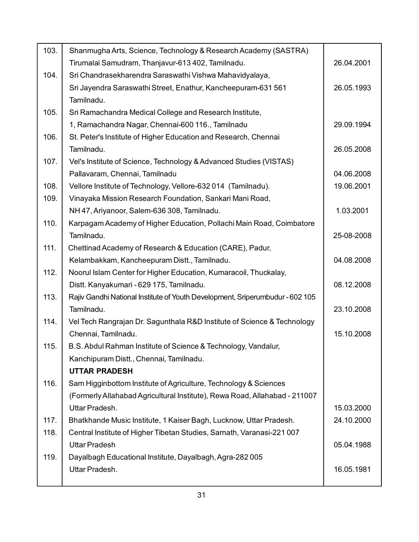| 103. | Shanmugha Arts, Science, Technology & Research Academy (SASTRA)               |            |
|------|-------------------------------------------------------------------------------|------------|
|      | Tirumalai Samudram, Thanjavur-613 402, Tamilnadu.                             | 26.04.2001 |
| 104. | Sri Chandrasekharendra Saraswathi Vishwa Mahavidyalaya,                       |            |
|      | Sri Jayendra Saraswathi Street, Enathur, Kancheepuram-631 561                 | 26.05.1993 |
|      | Tamilnadu.                                                                    |            |
| 105. | Sri Ramachandra Medical College and Research Institute,                       |            |
|      | 1, Ramachandra Nagar, Chennai-600 116., Tamilnadu                             | 29.09.1994 |
| 106. | St. Peter's Institute of Higher Education and Research, Chennai               |            |
|      | Tamilnadu.                                                                    | 26.05.2008 |
| 107. | Vel's Institute of Science, Technology & Advanced Studies (VISTAS)            |            |
|      | Pallavaram, Chennai, Tamilnadu                                                | 04.06.2008 |
| 108. | Vellore Institute of Technology, Vellore-632 014 (Tamilnadu).                 | 19.06.2001 |
| 109. | Vinayaka Mission Research Foundation, Sankari Mani Road,                      |            |
|      | NH 47, Ariyanoor, Salem-636 308, Tamilnadu.                                   | 1.03.2001  |
| 110. | Karpagam Academy of Higher Education, Pollachi Main Road, Coimbatore          |            |
|      | Tamilnadu.                                                                    | 25-08-2008 |
| 111. | Chettinad Academy of Research & Education (CARE), Padur,                      |            |
|      | Kelambakkam, Kancheepuram Distt., Tamilnadu.                                  | 04.08.2008 |
| 112. | Noorul Islam Center for Higher Education, Kumaracoil, Thuckalay,              |            |
|      | Distt. Kanyakumari - 629 175, Tamilnadu.                                      | 08.12.2008 |
| 113. | Rajiv Gandhi National Institute of Youth Development, Sriperumbudur - 602 105 |            |
|      | Tamilnadu.                                                                    | 23.10.2008 |
| 114. | Vel Tech Rangrajan Dr. Sagunthala R&D Institute of Science & Technology       |            |
|      | Chennai, Tamilnadu.                                                           | 15.10.2008 |
| 115. | B.S. Abdul Rahman Institute of Science & Technology, Vandalur,                |            |
|      | Kanchipuram Distt., Chennai, Tamilnadu.                                       |            |
|      | <b>UTTAR PRADESH</b>                                                          |            |
| 116. | Sam Higginbottom Institute of Agriculture, Technology & Sciences              |            |
|      | (Formerly Allahabad Agricultural Institute), Rewa Road, Allahabad - 211007    |            |
|      | Uttar Pradesh.                                                                | 15.03.2000 |
| 117. | Bhatkhande Music Institute, 1 Kaiser Bagh, Lucknow, Uttar Pradesh.            | 24.10.2000 |
| 118. | Central Institute of Higher Tibetan Studies, Sarnath, Varanasi-221 007        |            |
|      | <b>Uttar Pradesh</b>                                                          | 05.04.1988 |
| 119. | Dayalbagh Educational Institute, Dayalbagh, Agra-282 005                      |            |
|      | Uttar Pradesh.                                                                | 16.05.1981 |
|      |                                                                               |            |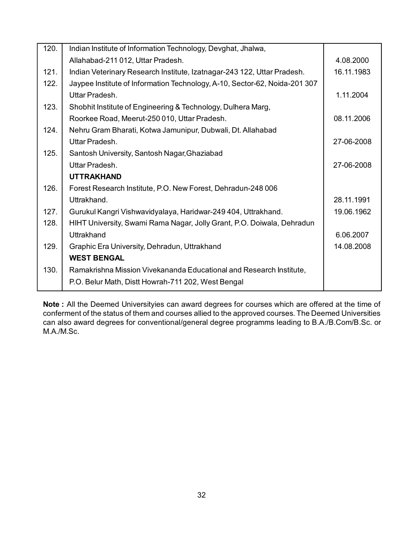| 120. | Indian Institute of Information Technology, Devghat, Jhalwa,               |            |
|------|----------------------------------------------------------------------------|------------|
|      | Allahabad-211 012, Uttar Pradesh.                                          | 4.08.2000  |
| 121. | Indian Veterinary Research Institute, Izatnagar-243 122, Uttar Pradesh.    | 16.11.1983 |
| 122. | Jaypee Institute of Information Technology, A-10, Sector-62, Noida-201 307 |            |
|      | Uttar Pradesh.                                                             | 1.11.2004  |
| 123. | Shobhit Institute of Engineering & Technology, Dulhera Marg,               |            |
|      | Roorkee Road, Meerut-250 010, Uttar Pradesh.                               | 08.11.2006 |
| 124. | Nehru Gram Bharati, Kotwa Jamunipur, Dubwali, Dt. Allahabad                |            |
|      | Uttar Pradesh.                                                             | 27-06-2008 |
| 125. | Santosh University, Santosh Nagar, Ghaziabad                               |            |
|      | Uttar Pradesh.                                                             | 27-06-2008 |
|      | <b>UTTRAKHAND</b>                                                          |            |
| 126. | Forest Research Institute, P.O. New Forest, Dehradun-248 006               |            |
|      | Uttrakhand.                                                                | 28.11.1991 |
| 127. | Gurukul Kangri Vishwavidyalaya, Haridwar-249 404, Uttrakhand.              | 19.06.1962 |
| 128. | HIHT University, Swami Rama Nagar, Jolly Grant, P.O. Doiwala, Dehradun     |            |
|      | Uttrakhand                                                                 | 6.06.2007  |
| 129. | Graphic Era University, Dehradun, Uttrakhand                               | 14.08.2008 |
|      | <b>WEST BENGAL</b>                                                         |            |
| 130. | Ramakrishna Mission Vivekananda Educational and Research Institute,        |            |
|      | P.O. Belur Math, Distt Howrah-711 202, West Bengal                         |            |
|      |                                                                            |            |

**Note :** All the Deemed Universityies can award degrees for courses which are offered at the time of conferment of the status of them and courses allied to the approved courses. The Deemed Universities can also award degrees for conventional/general degree programms leading to B.A./B.Com/B.Sc. or M.A./M.Sc.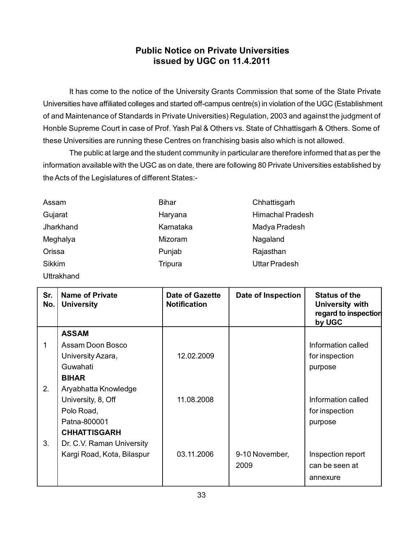## **Public Notice on Private Universities issued by UGC on 11.4.2011**

It has come to the notice of the University Grants Commission that some of the State Private Universities have affiliated colleges and started off-campus centre(s) in violation of the UGC (Establishment of and Maintenance of Standards in Private Universities) Regulation, 2003 and against the judgment of Honble Supreme Court in case of Prof. Yash Pal & Others vs. State of Chhattisgarh & Others. Some of these Universities are running these Centres on franchising basis also which is not allowed.

The public at large and the student community in particular are therefore informed that as per the information available with the UGC as on date, there are following 80 Private Universities established by the Acts of the Legislatures of different States:-

| Assam      | <b>Bihar</b> | Chhattisgarh            |
|------------|--------------|-------------------------|
| Gujarat    | Haryana      | <b>Himachal Pradesh</b> |
| Jharkhand  | Karnataka    | Madya Pradesh           |
| Meghalya   | Mizoram      | Nagaland                |
| Orissa     | Punjab       | Rajasthan               |
| Sikkim     | Tripura      | <b>Uttar Pradesh</b>    |
| Uttrakhand |              |                         |

| Sr.<br>No. | <b>Name of Private</b><br><b>University</b> | <b>Date of Gazette</b><br><b>Notification</b> | Date of Inspection | <b>Status of the</b><br>University with<br>regard to inspection<br>by UGC |
|------------|---------------------------------------------|-----------------------------------------------|--------------------|---------------------------------------------------------------------------|
|            | <b>ASSAM</b>                                |                                               |                    |                                                                           |
|            | Assam Doon Bosco                            |                                               |                    | Information called                                                        |
|            | University Azara,                           | 12.02.2009                                    |                    | for inspection                                                            |
|            | Guwahati                                    |                                               |                    | purpose                                                                   |
|            | <b>BIHAR</b>                                |                                               |                    |                                                                           |
| 2.         | Aryabhatta Knowledge                        |                                               |                    |                                                                           |
|            | University, 8, Off                          | 11.08.2008                                    |                    | Information called                                                        |
|            | Polo Road,                                  |                                               |                    | for inspection                                                            |
|            | Patna-800001                                |                                               |                    | purpose                                                                   |
|            | <b>CHHATTISGARH</b>                         |                                               |                    |                                                                           |
| 3.         | Dr. C.V. Raman University                   |                                               |                    |                                                                           |
|            | Kargi Road, Kota, Bilaspur                  | 03.11.2006                                    | 9-10 November,     | Inspection report                                                         |
|            |                                             |                                               | 2009               | can be seen at                                                            |
|            |                                             |                                               |                    | annexure                                                                  |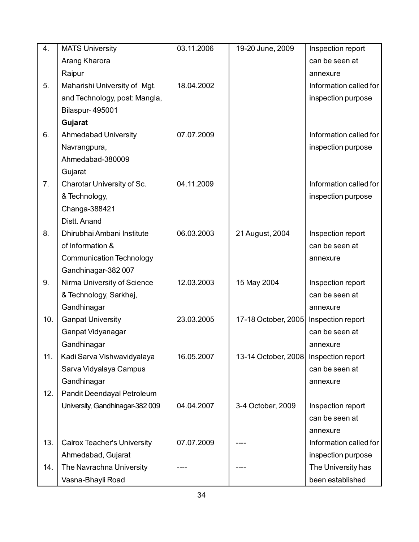| 4.  | <b>MATS University</b>             | 03.11.2006 | 19-20 June, 2009    | Inspection report      |
|-----|------------------------------------|------------|---------------------|------------------------|
|     | Arang Kharora                      |            |                     | can be seen at         |
|     | Raipur                             |            |                     | annexure               |
| 5.  | Maharishi University of Mgt.       | 18.04.2002 |                     | Information called for |
|     | and Technology, post: Mangla,      |            |                     | inspection purpose     |
|     | <b>Bilaspur-495001</b>             |            |                     |                        |
|     | Gujarat                            |            |                     |                        |
| 6.  | <b>Ahmedabad University</b>        | 07.07.2009 |                     | Information called for |
|     | Navrangpura,                       |            |                     | inspection purpose     |
|     | Ahmedabad-380009                   |            |                     |                        |
|     | Gujarat                            |            |                     |                        |
| 7.  | Charotar University of Sc.         | 04.11.2009 |                     | Information called for |
|     | & Technology,                      |            |                     | inspection purpose     |
|     | Changa-388421                      |            |                     |                        |
|     | Distt. Anand                       |            |                     |                        |
| 8.  | Dhirubhai Ambani Institute         | 06.03.2003 | 21 August, 2004     | Inspection report      |
|     | of Information &                   |            |                     | can be seen at         |
|     | <b>Communication Technology</b>    |            |                     | annexure               |
|     | Gandhinagar-382 007                |            |                     |                        |
| 9.  | Nirma University of Science        | 12.03.2003 | 15 May 2004         | Inspection report      |
|     | & Technology, Sarkhej,             |            |                     | can be seen at         |
|     | Gandhinagar                        |            |                     | annexure               |
| 10. | <b>Ganpat University</b>           | 23.03.2005 | 17-18 October, 2005 | Inspection report      |
|     | Ganpat Vidyanagar                  |            |                     | can be seen at         |
|     | Gandhinagar                        |            |                     | annexure               |
| 11. | Kadi Sarva Vishwavidyalaya         | 16.05.2007 | 13-14 October, 2008 | Inspection report      |
|     | Sarva Vidyalaya Campus             |            |                     | can be seen at         |
|     | Gandhinagar                        |            |                     | annexure               |
| 12. | Pandit Deendayal Petroleum         |            |                     |                        |
|     | University, Gandhinagar-382009     | 04.04.2007 | 3-4 October, 2009   | Inspection report      |
|     |                                    |            |                     | can be seen at         |
|     |                                    |            |                     | annexure               |
| 13. | <b>Calrox Teacher's University</b> | 07.07.2009 |                     | Information called for |
|     | Ahmedabad, Gujarat                 |            |                     | inspection purpose     |
| 14. | The Navrachna University           |            |                     | The University has     |
|     | Vasna-Bhayli Road                  |            |                     | been established       |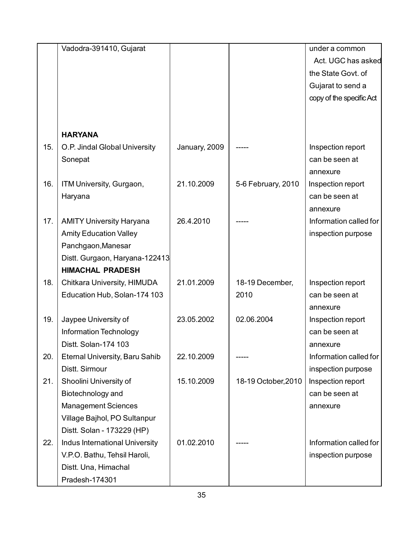|     | Vadodra-391410, Gujarat               |               |                     | under a common           |
|-----|---------------------------------------|---------------|---------------------|--------------------------|
|     |                                       |               |                     | Act. UGC has asked       |
|     |                                       |               |                     | the State Govt. of       |
|     |                                       |               |                     | Gujarat to send a        |
|     |                                       |               |                     | copy of the specific Act |
|     |                                       |               |                     |                          |
|     |                                       |               |                     |                          |
|     | <b>HARYANA</b>                        |               |                     |                          |
| 15. | O.P. Jindal Global University         | January, 2009 |                     | Inspection report        |
|     | Sonepat                               |               |                     | can be seen at           |
|     |                                       |               |                     | annexure                 |
| 16. | ITM University, Gurgaon,              | 21.10.2009    | 5-6 February, 2010  | Inspection report        |
|     | Haryana                               |               |                     | can be seen at           |
|     |                                       |               |                     | annexure                 |
| 17. | <b>AMITY University Haryana</b>       | 26.4.2010     |                     | Information called for   |
|     | <b>Amity Education Valley</b>         |               |                     | inspection purpose       |
|     | Panchgaon, Manesar                    |               |                     |                          |
|     | Distt. Gurgaon, Haryana-122413        |               |                     |                          |
|     | <b>HIMACHAL PRADESH</b>               |               |                     |                          |
| 18. | Chitkara University, HIMUDA           | 21.01.2009    | 18-19 December,     | Inspection report        |
|     | Education Hub, Solan-174 103          |               | 2010                | can be seen at           |
|     |                                       |               |                     | annexure                 |
| 19. | Jaypee University of                  | 23.05.2002    | 02.06.2004          | Inspection report        |
|     | Information Technology                |               |                     | can be seen at           |
|     | Distt. Solan-174 103                  |               |                     | annexure                 |
| 20. | <b>Eternal University, Baru Sahib</b> | 22.10.2009    |                     | Information called for   |
|     | Distt. Sirmour                        |               |                     | inspection purpose       |
| 21. | Shoolini University of                | 15.10.2009    | 18-19 October, 2010 | Inspection report        |
|     | Biotechnology and                     |               |                     | can be seen at           |
|     | <b>Management Sciences</b>            |               |                     | annexure                 |
|     | Village Bajhol, PO Sultanpur          |               |                     |                          |
|     | Distt. Solan - 173229 (HP)            |               |                     |                          |
| 22. | Indus International University        | 01.02.2010    |                     | Information called for   |
|     | V.P.O. Bathu, Tehsil Haroli,          |               |                     | inspection purpose       |
|     | Distt. Una, Himachal                  |               |                     |                          |
|     | Pradesh-174301                        |               |                     |                          |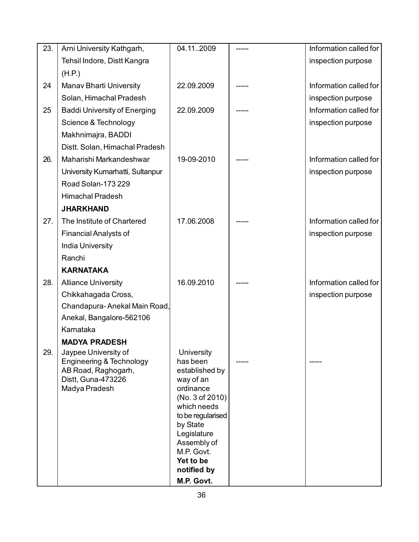| 23. | Arni University Kathgarh,                                                                                      | 04.112009                                                                                                                                                                                      | Information called for |
|-----|----------------------------------------------------------------------------------------------------------------|------------------------------------------------------------------------------------------------------------------------------------------------------------------------------------------------|------------------------|
|     | Tehsil Indore, Distt Kangra                                                                                    |                                                                                                                                                                                                | inspection purpose     |
|     | (H.P.)                                                                                                         |                                                                                                                                                                                                |                        |
| 24  | <b>Manav Bharti University</b>                                                                                 | 22.09.2009                                                                                                                                                                                     | Information called for |
|     | Solan, Himachal Pradesh                                                                                        |                                                                                                                                                                                                | inspection purpose     |
| 25  | <b>Baddi University of Energing</b>                                                                            | 22.09.2009                                                                                                                                                                                     | Information called for |
|     | Science & Technology                                                                                           |                                                                                                                                                                                                | inspection purpose     |
|     | Makhnimajra, BADDI                                                                                             |                                                                                                                                                                                                |                        |
|     | Distt. Solan, Himachal Pradesh                                                                                 |                                                                                                                                                                                                |                        |
| 26. | Maharishi Markandeshwar                                                                                        | 19-09-2010                                                                                                                                                                                     | Information called for |
|     | University Kumarhatti, Sultanpur                                                                               |                                                                                                                                                                                                | inspection purpose     |
|     | Road Solan-173 229                                                                                             |                                                                                                                                                                                                |                        |
|     | <b>Himachal Pradesh</b>                                                                                        |                                                                                                                                                                                                |                        |
|     | <b>JHARKHAND</b>                                                                                               |                                                                                                                                                                                                |                        |
| 27. | The Institute of Chartered                                                                                     | 17.06.2008                                                                                                                                                                                     | Information called for |
|     | <b>Financial Analysts of</b>                                                                                   |                                                                                                                                                                                                | inspection purpose     |
|     | <b>India University</b>                                                                                        |                                                                                                                                                                                                |                        |
|     | Ranchi                                                                                                         |                                                                                                                                                                                                |                        |
|     | <b>KARNATAKA</b>                                                                                               |                                                                                                                                                                                                |                        |
| 28. | <b>Alliance University</b>                                                                                     | 16.09.2010                                                                                                                                                                                     | Information called for |
|     | Chikkahagada Cross,                                                                                            |                                                                                                                                                                                                | inspection purpose     |
|     | Chandapura-Anekal Main Road,                                                                                   |                                                                                                                                                                                                |                        |
|     | Anekal, Bangalore-562106                                                                                       |                                                                                                                                                                                                |                        |
|     | Karnataka                                                                                                      |                                                                                                                                                                                                |                        |
| 29. | <b>MADYA PRADESH</b>                                                                                           |                                                                                                                                                                                                |                        |
|     | Jaypee University of<br>Engineering & Technology<br>AB Road, Raghogarh,<br>Distt, Guna-473226<br>Madya Pradesh | University<br>has been<br>established by<br>way of an<br>ordinance<br>(No. 3 of 2010)<br>which needs<br>to be regularised<br>by State<br>Legislature<br>Assembly of<br>M.P. Govt.<br>Yet to be |                        |
|     |                                                                                                                | notified by<br>M.P. Govt.                                                                                                                                                                      |                        |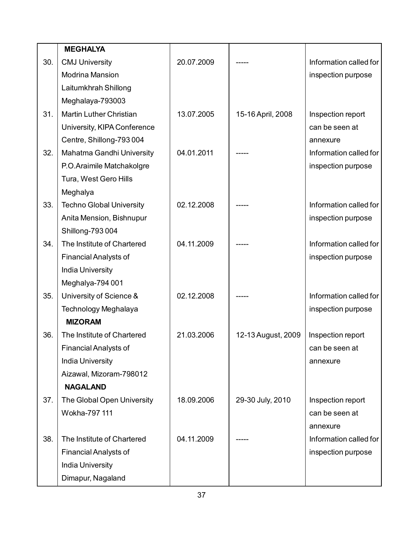|     | <b>MEGHALYA</b>                 |            |                    |                        |
|-----|---------------------------------|------------|--------------------|------------------------|
| 30. | <b>CMJ University</b>           | 20.07.2009 |                    | Information called for |
|     | <b>Modrina Mansion</b>          |            |                    | inspection purpose     |
|     | Laitumkhrah Shillong            |            |                    |                        |
|     | Meghalaya-793003                |            |                    |                        |
| 31. | <b>Martin Luther Christian</b>  | 13.07.2005 | 15-16 April, 2008  | Inspection report      |
|     | University, KIPA Conference     |            |                    | can be seen at         |
|     | Centre, Shillong-793004         |            |                    | annexure               |
| 32. | Mahatma Gandhi University       | 04.01.2011 |                    | Information called for |
|     | P.O.Araimile Matchakolgre       |            |                    | inspection purpose     |
|     | Tura, West Gero Hills           |            |                    |                        |
|     | Meghalya                        |            |                    |                        |
| 33. | <b>Techno Global University</b> | 02.12.2008 |                    | Information called for |
|     | Anita Mension, Bishnupur        |            |                    | inspection purpose     |
|     | Shillong-793 004                |            |                    |                        |
| 34. | The Institute of Chartered      | 04.11.2009 |                    | Information called for |
|     | <b>Financial Analysts of</b>    |            |                    | inspection purpose     |
|     | <b>India University</b>         |            |                    |                        |
|     | Meghalya-794 001                |            |                    |                        |
| 35. | University of Science &         | 02.12.2008 |                    | Information called for |
|     | Technology Meghalaya            |            |                    | inspection purpose     |
|     | <b>MIZORAM</b>                  |            |                    |                        |
| 36. | The Institute of Chartered      | 21.03.2006 | 12-13 August, 2009 | Inspection report      |
|     | <b>Financial Analysts of</b>    |            |                    | can be seen at         |
|     | <b>India University</b>         |            |                    | annexure               |
|     | Aizawal, Mizoram-798012         |            |                    |                        |
|     | <b>NAGALAND</b>                 |            |                    |                        |
| 37. | The Global Open University      | 18.09.2006 | 29-30 July, 2010   | Inspection report      |
|     | Wokha-797 111                   |            |                    | can be seen at         |
|     |                                 |            |                    | annexure               |
| 38. | The Institute of Chartered      | 04.11.2009 |                    | Information called for |
|     | <b>Financial Analysts of</b>    |            |                    | inspection purpose     |
|     | <b>India University</b>         |            |                    |                        |
|     | Dimapur, Nagaland               |            |                    |                        |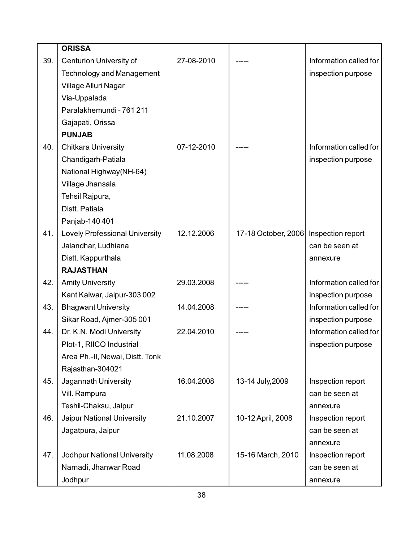|     | <b>ORISSA</b>                         |            |                                       |                        |
|-----|---------------------------------------|------------|---------------------------------------|------------------------|
| 39. | <b>Centurion University of</b>        | 27-08-2010 |                                       | Information called for |
|     | <b>Technology and Management</b>      |            |                                       | inspection purpose     |
|     | Village Alluri Nagar                  |            |                                       |                        |
|     | Via-Uppalada                          |            |                                       |                        |
|     | Paralakhemundi - 761 211              |            |                                       |                        |
|     | Gajapati, Orissa                      |            |                                       |                        |
|     | <b>PUNJAB</b>                         |            |                                       |                        |
| 40. | <b>Chitkara University</b>            | 07-12-2010 |                                       | Information called for |
|     | Chandigarh-Patiala                    |            |                                       | inspection purpose     |
|     | National Highway(NH-64)               |            |                                       |                        |
|     | Village Jhansala                      |            |                                       |                        |
|     | Tehsil Rajpura,                       |            |                                       |                        |
|     | Distt. Patiala                        |            |                                       |                        |
|     | Panjab-140 401                        |            |                                       |                        |
| 41. | <b>Lovely Professional University</b> | 12.12.2006 | 17-18 October, 2006 Inspection report |                        |
|     | Jalandhar, Ludhiana                   |            |                                       | can be seen at         |
|     | Distt. Kappurthala                    |            |                                       | annexure               |
|     | <b>RAJASTHAN</b>                      |            |                                       |                        |
| 42. | <b>Amity University</b>               | 29.03.2008 |                                       | Information called for |
|     | Kant Kalwar, Jaipur-303 002           |            |                                       | inspection purpose     |
| 43. | <b>Bhagwant University</b>            | 14.04.2008 |                                       | Information called for |
|     | Sikar Road, Ajmer-305 001             |            |                                       | inspection purpose     |
| 44. | Dr. K.N. Modi University              | 22.04.2010 |                                       | Information called for |
|     | Plot-1, RIICO Industrial              |            |                                       | inspection purpose     |
|     | Area Ph.-II, Newai, Distt. Tonk       |            |                                       |                        |
|     | Rajasthan-304021                      |            |                                       |                        |
| 45. | Jagannath University                  | 16.04.2008 | 13-14 July, 2009                      | Inspection report      |
|     | Vill. Rampura                         |            |                                       | can be seen at         |
|     | Teshil-Chaksu, Jaipur                 |            |                                       | annexure               |
| 46. | Jaipur National University            | 21.10.2007 | 10-12 April, 2008                     | Inspection report      |
|     | Jagatpura, Jaipur                     |            |                                       | can be seen at         |
|     |                                       |            |                                       | annexure               |
| 47. | Jodhpur National University           | 11.08.2008 | 15-16 March, 2010                     | Inspection report      |
|     | Narnadi, Jhanwar Road                 |            |                                       | can be seen at         |
|     | Jodhpur                               |            |                                       | annexure               |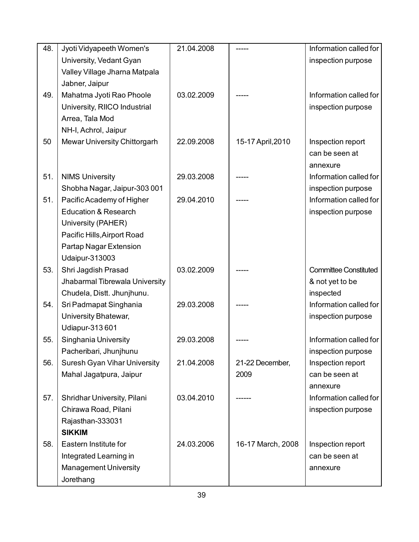| 48. | Jyoti Vidyapeeth Women's            | 21.04.2008 |                   | Information called for       |
|-----|-------------------------------------|------------|-------------------|------------------------------|
|     | University, Vedant Gyan             |            |                   | inspection purpose           |
|     | Valley Village Jharna Matpala       |            |                   |                              |
|     | Jabner, Jaipur                      |            |                   |                              |
| 49. | Mahatma Jyoti Rao Phoole            | 03.02.2009 |                   | Information called for       |
|     | University, RIICO Industrial        |            |                   | inspection purpose           |
|     | Arrea, Tala Mod                     |            |                   |                              |
|     | NH-I, Achrol, Jaipur                |            |                   |                              |
| 50  | Mewar University Chittorgarh        | 22.09.2008 | 15-17 April, 2010 | Inspection report            |
|     |                                     |            |                   | can be seen at               |
|     |                                     |            |                   | annexure                     |
| 51. | <b>NIMS University</b>              | 29.03.2008 |                   | Information called for       |
|     | Shobha Nagar, Jaipur-303 001        |            |                   | inspection purpose           |
| 51. | Pacific Academy of Higher           | 29.04.2010 |                   | Information called for       |
|     | <b>Education &amp; Research</b>     |            |                   | inspection purpose           |
|     | University (PAHER)                  |            |                   |                              |
|     | Pacific Hills, Airport Road         |            |                   |                              |
|     | Partap Nagar Extension              |            |                   |                              |
|     | <b>Udaipur-313003</b>               |            |                   |                              |
| 53. | Shri Jagdish Prasad                 | 03.02.2009 |                   | <b>Committee Constituted</b> |
|     | Jhabarmal Tibrewala University      |            |                   | & not yet to be              |
|     | Chudela, Distt. Jhunjhunu.          |            |                   | inspected                    |
| 54. | Sri Padmapat Singhania              | 29.03.2008 |                   | Information called for       |
|     | University Bhatewar,                |            |                   | inspection purpose           |
|     | <b>Udiapur-313601</b>               |            |                   |                              |
| 55. | Singhania University                | 29.03.2008 |                   | Information called for       |
|     | Pacheribari, Jhunjhunu              |            |                   | inspection purpose           |
| 56. | <b>Suresh Gyan Vihar University</b> | 21.04.2008 | 21-22 December,   | Inspection report            |
|     | Mahal Jagatpura, Jaipur             |            | 2009              | can be seen at               |
|     |                                     |            |                   | annexure                     |
| 57. | Shridhar University, Pilani         | 03.04.2010 |                   | Information called for       |
|     | Chirawa Road, Pilani                |            |                   | inspection purpose           |
|     | Rajasthan-333031                    |            |                   |                              |
|     | <b>SIKKIM</b>                       |            |                   |                              |
| 58. | Eastern Institute for               | 24.03.2006 | 16-17 March, 2008 | Inspection report            |
|     | Integrated Learning in              |            |                   | can be seen at               |
|     | <b>Management University</b>        |            |                   | annexure                     |
|     | Jorethang                           |            |                   |                              |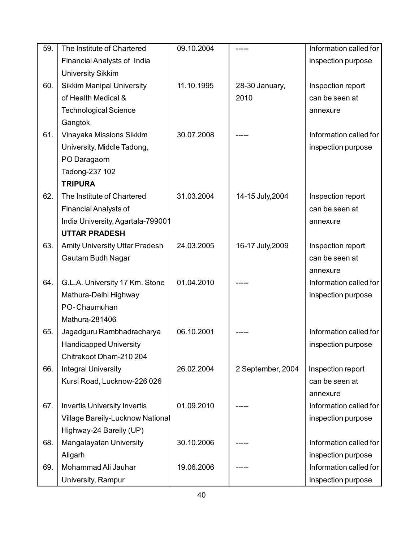| 59. | The Institute of Chartered              | 09.10.2004 |                   | Information called for |
|-----|-----------------------------------------|------------|-------------------|------------------------|
|     | Financial Analysts of India             |            |                   | inspection purpose     |
|     | <b>University Sikkim</b>                |            |                   |                        |
| 60. | <b>Sikkim Manipal University</b>        | 11.10.1995 | 28-30 January,    | Inspection report      |
|     | of Health Medical &                     |            | 2010              | can be seen at         |
|     | <b>Technological Science</b>            |            |                   | annexure               |
|     | Gangtok                                 |            |                   |                        |
| 61. | Vinayaka Missions Sikkim                | 30.07.2008 |                   | Information called for |
|     | University, Middle Tadong,              |            |                   | inspection purpose     |
|     | PO Daragaorn                            |            |                   |                        |
|     | Tadong-237 102                          |            |                   |                        |
|     | <b>TRIPURA</b>                          |            |                   |                        |
| 62. | The Institute of Chartered              | 31.03.2004 | 14-15 July, 2004  | Inspection report      |
|     | <b>Financial Analysts of</b>            |            |                   | can be seen at         |
|     | India University, Agartala-799001       |            |                   | annexure               |
|     | <b>UTTAR PRADESH</b>                    |            |                   |                        |
| 63. | <b>Amity University Uttar Pradesh</b>   | 24.03.2005 | 16-17 July, 2009  | Inspection report      |
|     | Gautam Budh Nagar                       |            |                   | can be seen at         |
|     |                                         |            |                   | annexure               |
| 64. | G.L.A. University 17 Km. Stone          | 01.04.2010 |                   | Information called for |
|     | Mathura-Delhi Highway                   |            |                   | inspection purpose     |
|     | PO-Chaumuhan                            |            |                   |                        |
|     | Mathura-281406                          |            |                   |                        |
| 65. | Jagadguru Rambhadracharya               | 06.10.2001 |                   | Information called for |
|     | <b>Handicapped University</b>           |            |                   | inspection purpose     |
|     | Chitrakoot Dham-210 204                 |            |                   |                        |
| 66. | <b>Integral University</b>              | 26.02.2004 | 2 September, 2004 | Inspection report      |
|     | Kursi Road, Lucknow-226 026             |            |                   | can be seen at         |
|     |                                         |            |                   | annexure               |
| 67. | <b>Invertis University Invertis</b>     | 01.09.2010 |                   | Information called for |
|     | <b>Village Bareily-Lucknow National</b> |            |                   | inspection purpose     |
|     | Highway-24 Bareily (UP)                 |            |                   |                        |
| 68. | Mangalayatan University                 | 30.10.2006 |                   | Information called for |
|     | Aligarh                                 |            |                   | inspection purpose     |
| 69. | Mohammad Ali Jauhar                     | 19.06.2006 |                   | Information called for |
|     | University, Rampur                      |            |                   | inspection purpose     |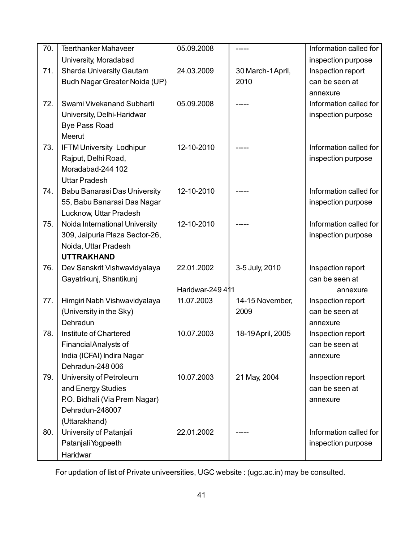| 70. | <b>Teerthanker Mahaveer</b>         | 05.09.2008       |                   | Information called for |
|-----|-------------------------------------|------------------|-------------------|------------------------|
|     | University, Moradabad               |                  |                   | inspection purpose     |
| 71. | <b>Sharda University Gautam</b>     | 24.03.2009       | 30 March-1 April, | Inspection report      |
|     | Budh Nagar Greater Noida (UP)       |                  | 2010              | can be seen at         |
|     |                                     |                  |                   | annexure               |
| 72. | Swami Vivekanand Subharti           | 05.09.2008       |                   | Information called for |
|     | University, Delhi-Haridwar          |                  |                   | inspection purpose     |
|     | <b>Bye Pass Road</b>                |                  |                   |                        |
|     | <b>Meerut</b>                       |                  |                   |                        |
| 73. | <b>IFTM University Lodhipur</b>     | 12-10-2010       |                   | Information called for |
|     | Rajput, Delhi Road,                 |                  |                   | inspection purpose     |
|     | Moradabad-244 102                   |                  |                   |                        |
|     | <b>Uttar Pradesh</b>                |                  |                   |                        |
| 74. | <b>Babu Banarasi Das University</b> | 12-10-2010       |                   | Information called for |
|     | 55, Babu Banarasi Das Nagar         |                  |                   | inspection purpose     |
|     | Lucknow, Uttar Pradesh              |                  |                   |                        |
| 75. | Noida International University      | 12-10-2010       |                   | Information called for |
|     | 309, Jaipuria Plaza Sector-26,      |                  |                   | inspection purpose     |
|     | Noida, Uttar Pradesh                |                  |                   |                        |
|     | <b>UTTRAKHAND</b>                   |                  |                   |                        |
| 76. | Dev Sanskrit Vishwavidyalaya        | 22.01.2002       | 3-5 July, 2010    | Inspection report      |
|     | Gayatrikunj, Shantikunj             |                  |                   | can be seen at         |
|     |                                     | Haridwar-249 411 |                   | annexure               |
| 77. | Himgiri Nabh Vishwavidyalaya        | 11.07.2003       | 14-15 November,   | Inspection report      |
|     | (University in the Sky)             |                  | 2009              | can be seen at         |
|     | Dehradun                            |                  |                   | annexure               |
| 78. | Institute of Chartered              | 10.07.2003       | 18-19 April, 2005 | Inspection report      |
|     | FinancialAnalysts of                |                  |                   | can be seen at         |
|     | India (ICFAI) Indira Nagar          |                  |                   | annexure               |
|     | Dehradun-248 006                    |                  |                   |                        |
| 79. | University of Petroleum             | 10.07.2003       | 21 May, 2004      | Inspection report      |
|     | and Energy Studies                  |                  |                   | can be seen at         |
|     | P.O. Bidhali (Via Prem Nagar)       |                  |                   | annexure               |
|     | Dehradun-248007                     |                  |                   |                        |
|     | (Uttarakhand)                       |                  |                   |                        |
| 80. | University of Patanjali             | 22.01.2002       |                   | Information called for |
|     | Patanjali Yogpeeth                  |                  |                   | inspection purpose     |
|     | Haridwar                            |                  |                   |                        |

For updation of list of Private univeersities, UGC website : (ugc.ac.in) may be consulted.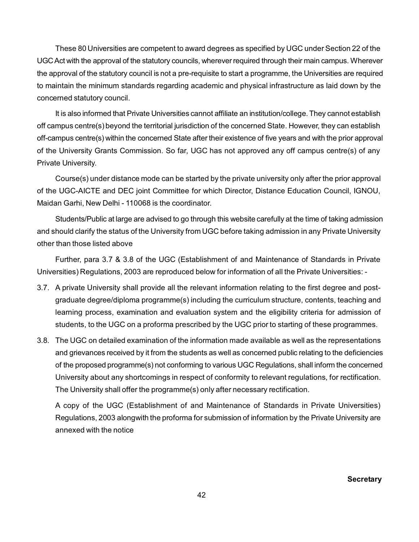These 80 Universities are competent to award degrees as specified by UGC under Section 22 of the UGC Act with the approval of the statutory councils, wherever required through their main campus. Wherever the approval of the statutory council is not a pre-requisite to start a programme, the Universities are required to maintain the minimum standards regarding academic and physical infrastructure as laid down by the concerned statutory council.

It is also informed that Private Universities cannot affiliate an institution/college. They cannot establish off campus centre(s) beyond the territorial jurisdiction of the concerned State. However, they can establish off-campus centre(s) within the concerned State after their existence of five years and with the prior approval of the University Grants Commission. So far, UGC has not approved any off campus centre(s) of any Private University.

Course(s) under distance mode can be started by the private university only after the prior approval of the UGC-AICTE and DEC joint Committee for which Director, Distance Education Council, IGNOU, Maidan Garhi, New Delhi - 110068 is the coordinator.

Students/Public at large are advised to go through this website carefully at the time of taking admission and should clarify the status of the University from UGC before taking admission in any Private University other than those listed above

Further, para 3.7 & 3.8 of the UGC (Establishment of and Maintenance of Standards in Private Universities) Regulations, 2003 are reproduced below for information of all the Private Universities: -

- 3.7. A private University shall provide all the relevant information relating to the first degree and postgraduate degree/diploma programme(s) including the curriculum structure, contents, teaching and learning process, examination and evaluation system and the eligibility criteria for admission of students, to the UGC on a proforma prescribed by the UGC prior to starting of these programmes.
- 3.8. The UGC on detailed examination of the information made available as well as the representations and grievances received by it from the students as well as concerned public relating to the deficiencies of the proposed programme(s) not conforming to various UGC Regulations, shall inform the concerned University about any shortcomings in respect of conformity to relevant regulations, for rectification. The University shall offer the programme(s) only after necessary rectification.

A copy of the UGC (Establishment of and Maintenance of Standards in Private Universities) Regulations, 2003 alongwith the proforma for submission of information by the Private University are annexed with the notice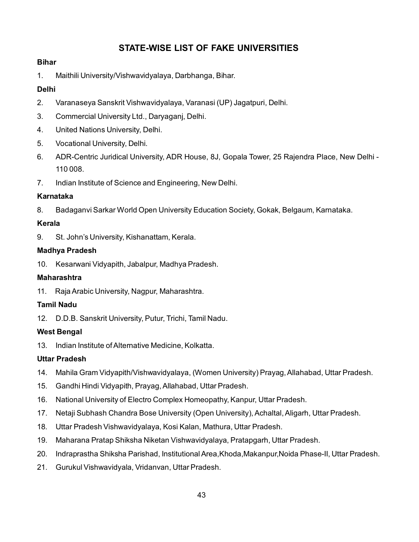# **STATE-WISE LIST OF FAKE UNIVERSITIES**

#### **Bihar**

1. Maithili University/Vishwavidyalaya, Darbhanga, Bihar.

### **Delhi**

- 2. Varanaseya Sanskrit Vishwavidyalaya, Varanasi (UP) Jagatpuri, Delhi.
- 3. Commercial University Ltd., Daryaganj, Delhi.
- 4. United Nations University, Delhi.
- 5. Vocational University, Delhi.
- 6. ADR-Centric Juridical University, ADR House, 8J, Gopala Tower, 25 Rajendra Place, New Delhi 110 008.
- 7. Indian Institute of Science and Engineering, New Delhi.

#### **Karnataka**

8. Badaganvi Sarkar World Open University Education Society, Gokak, Belgaum, Karnataka.

#### **Kerala**

9. St. John's University, Kishanattam, Kerala.

#### **Madhya Pradesh**

10. Kesarwani Vidyapith, Jabalpur, Madhya Pradesh.

#### **Maharashtra**

11. Raja Arabic University, Nagpur, Maharashtra.

#### **Tamil Nadu**

12. D.D.B. Sanskrit University, Putur, Trichi, Tamil Nadu.

#### **West Bengal**

13. Indian Institute of Alternative Medicine, Kolkatta.

#### **Uttar Pradesh**

- 14. Mahila Gram Vidyapith/Vishwavidyalaya, (Women University) Prayag, Allahabad, Uttar Pradesh.
- 15. Gandhi Hindi Vidyapith, Prayag, Allahabad, Uttar Pradesh.
- 16. National University of Electro Complex Homeopathy, Kanpur, Uttar Pradesh.
- 17. Netaji Subhash Chandra Bose University (Open University), Achaltal, Aligarh, Uttar Pradesh.
- 18. Uttar Pradesh Vishwavidyalaya, Kosi Kalan, Mathura, Uttar Pradesh.
- 19. Maharana Pratap Shiksha Niketan Vishwavidyalaya, Pratapgarh, Uttar Pradesh.
- 20. Indraprastha Shiksha Parishad, Institutional Area,Khoda,Makanpur,Noida Phase-II, Uttar Pradesh.
- 21. Gurukul Vishwavidyala, Vridanvan, Uttar Pradesh.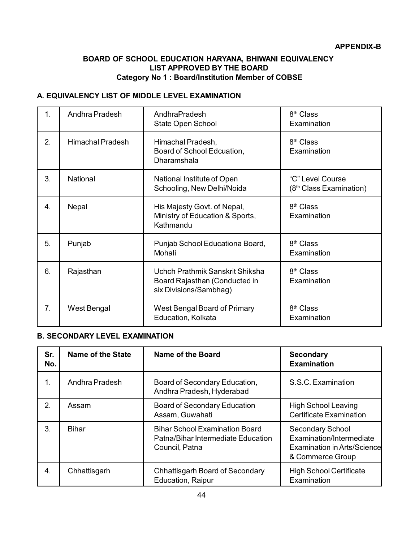#### **BOARD OF SCHOOL EDUCATION HARYANA, BHIWANI EQUIVALENCY LIST APPROVED BY THE BOARD Category No 1 : Board/Institution Member of COBSE**

### **A. EQUIVALENCY LIST OF MIDDLE LEVEL EXAMINATION**

| 1. | Andhra Pradesh          | AndhraPradesh<br>State Open School                                                         | 8 <sup>th</sup> Class<br>Examination                    |
|----|-------------------------|--------------------------------------------------------------------------------------------|---------------------------------------------------------|
| 2. | <b>Himachal Pradesh</b> | Himachal Pradesh,<br>Board of School Edcuation,<br>Dharamshala                             | 8 <sup>th</sup> Class<br>Examination                    |
| 3. | National                | National Institute of Open<br>Schooling, New Delhi/Noida                                   | "C" Level Course<br>(8 <sup>th</sup> Class Examination) |
| 4. | Nepal                   | His Majesty Govt. of Nepal,<br>Ministry of Education & Sports,<br>Kathmandu                | 8 <sup>th</sup> Class<br>Examination                    |
| 5. | Punjab                  | Punjab School Educationa Board,<br>Mohali                                                  | 8 <sup>th</sup> Class<br>Examination                    |
| 6. | Rajasthan               | Uchch Prathmik Sanskrit Shiksha<br>Board Rajasthan (Conducted in<br>six Divisions/Sambhag) | 8 <sup>th</sup> Class<br>Examination                    |
| 7. | West Bengal             | West Bengal Board of Primary<br>Education, Kolkata                                         | 8 <sup>th</sup> Class<br>Examination                    |

#### **B. SECONDARY LEVEL EXAMINATION**

| Sr.<br>No. | <b>Name of the State</b> | <b>Name of the Board</b>                                                                      | <b>Secondary</b><br><b>Examination</b>                                                          |
|------------|--------------------------|-----------------------------------------------------------------------------------------------|-------------------------------------------------------------------------------------------------|
| 1.         | Andhra Pradesh           | Board of Secondary Education,<br>Andhra Pradesh, Hyderabad                                    | S.S.C. Examination                                                                              |
| 2.         | Assam                    | <b>Board of Secondary Education</b><br>Assam, Guwahati                                        | <b>High School Leaving</b><br><b>Certificate Examination</b>                                    |
| 3.         | Bihar                    | <b>Bihar School Examination Board</b><br>Patna/Bihar Intermediate Education<br>Council, Patna | Secondary School<br>Examination/Intermediate<br>Examination in Arts/Science<br>& Commerce Group |
| 4.         | Chhattisgarh             | Chhattisgarh Board of Secondary<br><b>Education, Raipur</b>                                   | <b>High School Certificate</b><br>Examination                                                   |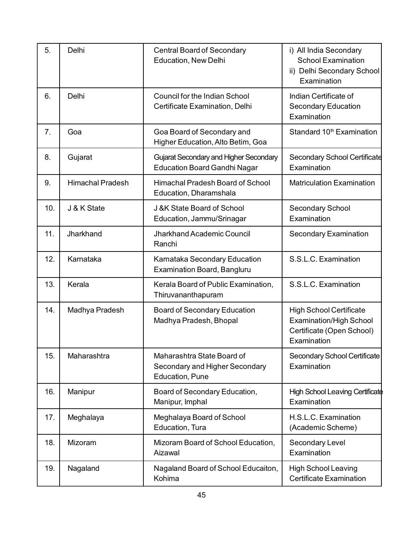| 5.  | Delhi                   | <b>Central Board of Secondary</b><br><b>Education, New Delhi</b>                | i) All India Secondary<br><b>School Examination</b><br>ii) Delhi Secondary School<br>Examination             |
|-----|-------------------------|---------------------------------------------------------------------------------|--------------------------------------------------------------------------------------------------------------|
| 6.  | Delhi                   | Council for the Indian School<br>Certificate Examination, Delhi                 | Indian Certificate of<br><b>Secondary Education</b><br>Examination                                           |
| 7.  | Goa                     | Goa Board of Secondary and<br>Higher Education, Alto Betim, Goa                 | Standard 10 <sup>th</sup> Examination                                                                        |
| 8.  | Gujarat                 | Gujarat Secondary and Higher Secondary<br><b>Education Board Gandhi Nagar</b>   | <b>Secondary School Certificate</b><br>Examination                                                           |
| 9.  | <b>Himachal Pradesh</b> | Himachal Pradesh Board of School<br>Education, Dharamshala                      | <b>Matriculation Examination</b>                                                                             |
| 10. | J & K State             | J &K State Board of School<br>Education, Jammu/Srinagar                         | <b>Secondary School</b><br>Examination                                                                       |
| 11. | Jharkhand               | Jharkhand Academic Council<br>Ranchi                                            | Secondary Examination                                                                                        |
| 12. | Karnataka               | Karnataka Secondary Education<br><b>Examination Board, Bangluru</b>             | S.S.L.C. Examination                                                                                         |
| 13. | Kerala                  | Kerala Board of Public Examination,<br>Thiruvananthapuram                       | S.S.L.C. Examination                                                                                         |
| 14. | Madhya Pradesh          | <b>Board of Secondary Education</b><br>Madhya Pradesh, Bhopal                   | <b>High School Certificate</b><br><b>Examination/High School</b><br>Certificate (Open School)<br>Examination |
| 15. | Maharashtra             | Maharashtra State Board of<br>Secondary and Higher Secondary<br>Education, Pune | Secondary School Certificate<br>Examination                                                                  |
| 16. | Manipur                 | Board of Secondary Education,<br>Manipur, Imphal                                | High School Leaving Certificate<br>Examination                                                               |
| 17. | Meghalaya               | Meghalaya Board of School<br>Education, Tura                                    | H.S.L.C. Examination<br>(Academic Scheme)                                                                    |
| 18. | Mizoram                 | Mizoram Board of School Education,<br>Aizawal                                   | Secondary Level<br>Examination                                                                               |
| 19. | Nagaland                | Nagaland Board of School Educaiton,<br>Kohima                                   | <b>High School Leaving</b><br><b>Certificate Examination</b>                                                 |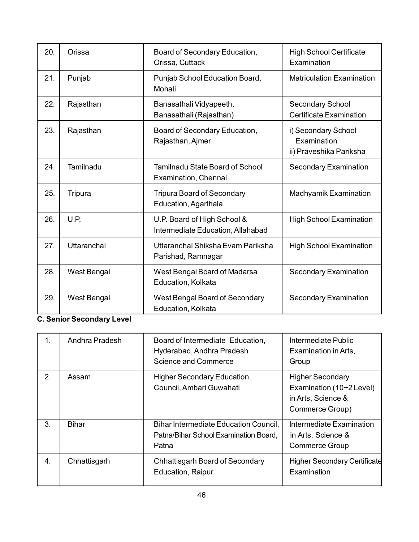| 20. | Orissa      | Board of Secondary Education,<br>Orissa, Cuttack                 | <b>High School Certificate</b><br>Examination                 |
|-----|-------------|------------------------------------------------------------------|---------------------------------------------------------------|
| 21. | Punjab      | Punjab School Education Board,<br>Mohali                         | <b>Matriculation Examination</b>                              |
| 22. | Rajasthan   | Banasathali Vidyapeeth,<br>Banasathali (Rajasthan)               | Secondary School<br><b>Certificate Examination</b>            |
| 23. | Rajasthan   | Board of Secondary Education,<br>Rajasthan, Ajmer                | i) Secondary School<br>Examination<br>ii) Praveshika Pariksha |
| 24. | Tamilnadu   | <b>Tamilnadu State Board of School</b><br>Examination, Chennai   | <b>Secondary Examination</b>                                  |
| 25. | Tripura     | <b>Tripura Board of Secondary</b><br>Education, Agarthala        | Madhyamik Examination                                         |
| 26. | U.P.        | U.P. Board of High School &<br>Intermediate Education, Allahabad | <b>High School Examination</b>                                |
| 27. | Uttaranchal | Uttaranchal Shiksha Evam Pariksha<br>Parishad, Ramnagar          | <b>High School Examination</b>                                |
| 28. | West Bengal | West Bengal Board of Madarsa<br>Education, Kolkata               | <b>Secondary Examination</b>                                  |
| 29. | West Bengal | West Bengal Board of Secondary<br>Education, Kolkata             | <b>Secondary Examination</b>                                  |

# **C. Senior Secondary Level**

| 1. | Andhra Pradesh | Board of Intermediate Education,<br>Hyderabad, Andhra Pradesh<br>Science and Commerce   | Intermediate Public<br>Examination in Arts,<br>Group                                         |
|----|----------------|-----------------------------------------------------------------------------------------|----------------------------------------------------------------------------------------------|
| 2. | Assam          | <b>Higher Secondary Education</b><br>Council, Ambari Guwahati                           | <b>Higher Secondary</b><br>Examination (10+2 Level)<br>in Arts, Science &<br>Commerce Group) |
| 3. | <b>Bihar</b>   | Bihar Intermediate Education Council,<br>Patna/Bihar School Examination Board,<br>Patna | Intermediate Examination<br>in Arts, Science &<br>Commerce Group                             |
| 4. | Chhattisgarh   | Chhattisgarh Board of Secondary<br><b>Education, Raipur</b>                             | <b>Higher Secondary Certificate</b><br>Examination                                           |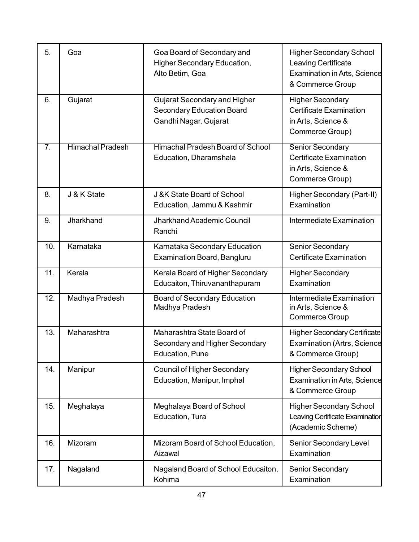| 5.  | Goa                     | Goa Board of Secondary and<br>Higher Secondary Education,<br>Alto Betim, Goa                     | <b>Higher Secondary School</b><br>Leaving Certificate<br><b>Examination in Arts, Science</b><br>& Commerce Group |
|-----|-------------------------|--------------------------------------------------------------------------------------------------|------------------------------------------------------------------------------------------------------------------|
| 6.  | Gujarat                 | <b>Gujarat Secondary and Higher</b><br><b>Secondary Education Board</b><br>Gandhi Nagar, Gujarat | <b>Higher Secondary</b><br><b>Certificate Examination</b><br>in Arts, Science &<br>Commerce Group)               |
| 7.  | <b>Himachal Pradesh</b> | Himachal Pradesh Board of School<br>Education, Dharamshala                                       | Senior Secondary<br><b>Certificate Examination</b><br>in Arts, Science &<br>Commerce Group)                      |
| 8.  | J & K State             | J &K State Board of School<br>Education, Jammu & Kashmir                                         | Higher Secondary (Part-II)<br>Examination                                                                        |
| 9.  | Jharkhand               | Jharkhand Academic Council<br>Ranchi                                                             | <b>Intermediate Examination</b>                                                                                  |
| 10. | Karnataka               | Karnataka Secondary Education<br><b>Examination Board, Bangluru</b>                              | Senior Secondary<br><b>Certificate Examination</b>                                                               |
| 11. | Kerala                  | Kerala Board of Higher Secondary<br>Educaiton, Thiruvananthapuram                                | <b>Higher Secondary</b><br>Examination                                                                           |
| 12. | Madhya Pradesh          | <b>Board of Secondary Education</b><br>Madhya Pradesh                                            | <b>Intermediate Examination</b><br>in Arts, Science &<br><b>Commerce Group</b>                                   |
| 13. | Maharashtra             | Maharashtra State Board of<br>Secondary and Higher Secondary<br>Education, Pune                  | <b>Higher Secondary Certificate</b><br><b>Examination (Artrs, Science</b><br>& Commerce Group)                   |
| 14. | Manipur                 | <b>Council of Higher Secondary</b><br>Education, Manipur, Imphal                                 | <b>Higher Secondary School</b><br><b>Examination in Arts, Science</b><br>& Commerce Group                        |
| 15. | Meghalaya               | Meghalaya Board of School<br>Education, Tura                                                     | <b>Higher Secondary School</b><br>Leaving Certificate Examination<br>(Academic Scheme)                           |
| 16. | Mizoram                 | Mizoram Board of School Education,<br>Aizawal                                                    | Senior Secondary Level<br>Examination                                                                            |
| 17. | Nagaland                | Nagaland Board of School Educaiton,<br>Kohima                                                    | <b>Senior Secondary</b><br>Examination                                                                           |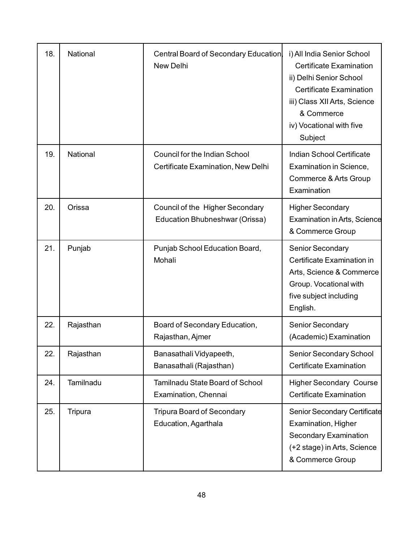| 18. | National  | <b>Central Board of Secondary Education</b><br><b>New Delhi</b>            | i) All India Senior School<br><b>Certificate Examination</b><br>ii) Delhi Senior School<br><b>Certificate Examination</b><br>iii) Class XII Arts, Science<br>& Commerce<br>iv) Vocational with five<br>Subject |
|-----|-----------|----------------------------------------------------------------------------|----------------------------------------------------------------------------------------------------------------------------------------------------------------------------------------------------------------|
| 19. | National  | <b>Council for the Indian School</b><br>Certificate Examination, New Delhi | Indian School Certificate<br>Examination in Science,<br>Commerce & Arts Group<br>Examination                                                                                                                   |
| 20. | Orissa    | Council of the Higher Secondary<br>Education Bhubneshwar (Orissa)          | <b>Higher Secondary</b><br><b>Examination in Arts, Science</b><br>& Commerce Group                                                                                                                             |
| 21. | Punjab    | Punjab School Education Board,<br>Mohali                                   | Senior Secondary<br>Certificate Examination in<br>Arts, Science & Commerce<br>Group. Vocational with<br>five subject including<br>English.                                                                     |
| 22. | Rajasthan | Board of Secondary Education,<br>Rajasthan, Ajmer                          | <b>Senior Secondary</b><br>(Academic) Examination                                                                                                                                                              |
| 22. | Rajasthan | Banasathali Vidyapeeth,<br>Banasathali (Rajasthan)                         | Senior Secondary School<br><b>Certificate Examination</b>                                                                                                                                                      |
| 24. | Tamilnadu | Tamilnadu State Board of School<br>Examination, Chennai                    | <b>Higher Secondary Course</b><br><b>Certificate Examination</b>                                                                                                                                               |
| 25. | Tripura   | <b>Tripura Board of Secondary</b><br>Education, Agarthala                  | Senior Secondary Certificate<br>Examination, Higher<br>Secondary Examination<br>(+2 stage) in Arts, Science<br>& Commerce Group                                                                                |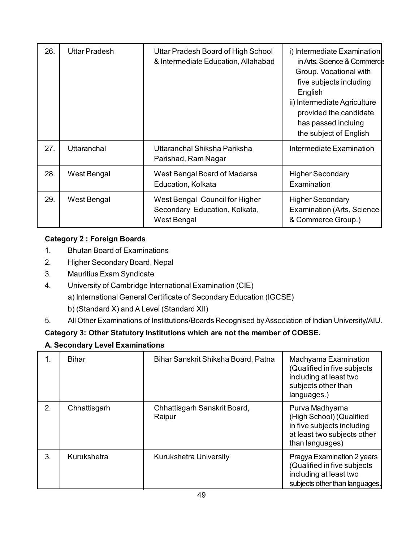| 26. | <b>Uttar Pradesh</b> | Uttar Pradesh Board of High School<br>& Intermediate Education, Allahabad      | i) Intermediate Examination<br>in Arts, Science & Commerce<br>Group. Vocational with<br>five subjects including<br>English<br>ii) Intermediate Agriculture<br>provided the candidate<br>has passed incluing<br>the subject of English |
|-----|----------------------|--------------------------------------------------------------------------------|---------------------------------------------------------------------------------------------------------------------------------------------------------------------------------------------------------------------------------------|
| 27. | Uttaranchal          | Uttaranchal Shiksha Pariksha<br>Parishad, Ram Nagar                            | Intermediate Examination                                                                                                                                                                                                              |
| 28. | West Bengal          | West Bengal Board of Madarsa<br>Education, Kolkata                             | <b>Higher Secondary</b><br>Examination                                                                                                                                                                                                |
| 29. | West Bengal          | West Bengal Council for Higher<br>Secondary Education, Kolkata,<br>West Bengal | <b>Higher Secondary</b><br><b>Examination (Arts, Science)</b><br>& Commerce Group.)                                                                                                                                                   |

## **Category 2 : Foreign Boards**

- 1. Bhutan Board of Examinations
- 2. Higher Secondary Board, Nepal
- 3. Mauritius Exam Syndicate
- 4. University of Cambridge International Examination (CIE)
	- a) International General Certificate of Secondary Education (IGCSE)
	- b) (Standard X) and A Level (Standard XII)
- 5. All Other Examinations of Instittutions/Boards Recognised by Association of Indian University/AIU.

## **Category 3: Other Statutory Institutions which are not the member of COBSE.**

#### **A. Secondary Level Examinations**

| 1. | Bihar        | Bihar Sanskrit Shiksha Board, Patna    | Madhyama Examination<br>(Qualified in five subjects<br>including at least two<br>subjects other than<br>languages.)        |
|----|--------------|----------------------------------------|----------------------------------------------------------------------------------------------------------------------------|
| 2. | Chhattisgarh | Chhattisgarh Sanskrit Board,<br>Raipur | Purva Madhyama<br>(High School) (Qualified<br>in five subjects including<br>at least two subjects other<br>than languages) |
| 3. | Kurukshetra  | <b>Kurukshetra University</b>          | Pragya Examination 2 years<br>(Qualified in five subjects<br>including at least two<br>subjects other than languages.      |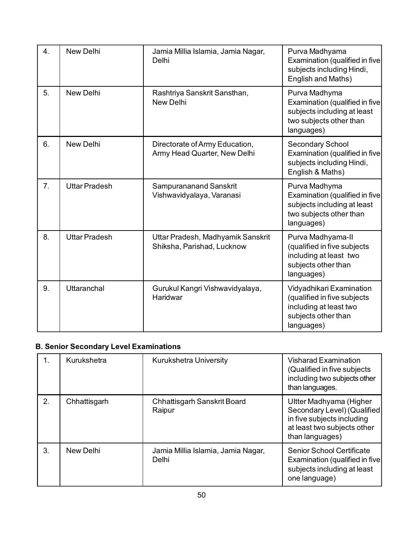| 4. | <b>New Delhi</b>     | Jamia Millia Islamia, Jamia Nagar,<br>Delhi                     | Purva Madhyama<br>Examination (qualified in five<br>subjects including Hindi,<br>English and Maths)                     |
|----|----------------------|-----------------------------------------------------------------|-------------------------------------------------------------------------------------------------------------------------|
| 5. | <b>New Delhi</b>     | Rashtriya Sanskrit Sansthan,<br>New Delhi                       | Purva Madhyma<br>Examination (qualified in five<br>subjects including at least<br>two subjects other than<br>languages) |
| 6. | <b>New Delhi</b>     | Directorate of Army Education,<br>Army Head Quarter, New Delhi  | Secondary School<br>Examination (qualified in five<br>subjects including Hindi,<br>English & Maths)                     |
| 7. | <b>Uttar Pradesh</b> | Sampurananand Sanskrit<br>Vishwavidyalaya, Varanasi             | Purva Madhyma<br>Examination (qualified in five<br>subjects including at least<br>two subjects other than<br>languages) |
| 8. | <b>Uttar Pradesh</b> | Uttar Pradesh, Madhyamik Sanskrit<br>Shiksha, Parishad, Lucknow | Purva Madhyama-II<br>(qualified in five subjects<br>including at least two<br>subjects other than<br>languages)         |
| 9. | Uttaranchal          | Gurukul Kangri Vishwavidyalaya,<br>Haridwar                     | Vidyadhikari Examination<br>(qualified in five subjects<br>including at least two<br>subjects other than<br>languages)  |

## **B. Senior Secondary Level Examinations**

| 1. | Kurukshetra  | <b>Kurukshetra University</b>               | <b>Visharad Examination</b><br>(Qualified in five subjects<br>including two subjects other<br>than languages.                          |
|----|--------------|---------------------------------------------|----------------------------------------------------------------------------------------------------------------------------------------|
| 2. | Chhattisgarh | Chhattisgarh Sanskrit Board<br>Raipur       | Ultter Madhyama (Higher<br>Secondary Level) (Qualified<br>in five subjects including<br>at least two subjects other<br>than languages) |
| 3. | New Delhi    | Jamia Millia Islamia, Jamia Nagar,<br>Delhi | <b>Senior School Certificate</b><br>Examination (qualified in five)<br>subjects including at least<br>one language)                    |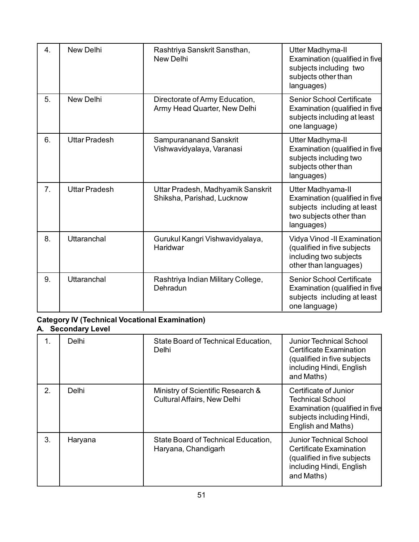| 4.             | <b>New Delhi</b>     | Rashtriya Sanskrit Sansthan,<br><b>New Delhi</b>                | Utter Madhyma-II<br>Examination (qualified in five<br>subjects including two<br>subjects other than<br>languages)           |
|----------------|----------------------|-----------------------------------------------------------------|-----------------------------------------------------------------------------------------------------------------------------|
| 5.             | <b>New Delhi</b>     | Directorate of Army Education,<br>Army Head Quarter, New Delhi  | Senior School Certificate<br>Examination (qualified in five<br>subjects including at least<br>one language)                 |
| 6.             | <b>Uttar Pradesh</b> | Sampurananand Sanskrit<br>Vishwavidyalaya, Varanasi             | Utter Madhyma-II<br>Examination (qualified in five<br>subjects including two<br>subjects other than<br>languages)           |
| 7 <sub>1</sub> | <b>Uttar Pradesh</b> | Uttar Pradesh, Madhyamik Sanskrit<br>Shiksha, Parishad, Lucknow | Utter Madhyama-II<br>Examination (qualified in five<br>subjects including at least<br>two subjects other than<br>languages) |
| 8.             | Uttaranchal          | Gurukul Kangri Vishwavidyalaya,<br>Haridwar                     | Vidya Vinod - Il Examination<br>(qualified in five subjects<br>including two subjects<br>other than languages)              |
| 9.             | <b>Uttaranchal</b>   | Rashtriya Indian Military College,<br>Dehradun                  | <b>Senior School Certificate</b><br>Examination (qualified in five<br>subjects including at least<br>one language)          |

# **Category IV (Technical Vocational Examination)**

#### **A. Secondary Level**

| 1. | Delhi   | State Board of Technical Education,<br>Delhi                            | Junior Technical School<br><b>Certificate Examination</b><br>(qualified in five subjects<br>including Hindi, English<br>and Maths) |
|----|---------|-------------------------------------------------------------------------|------------------------------------------------------------------------------------------------------------------------------------|
| 2. | Delhi   | Ministry of Scientific Research &<br><b>Cultural Affairs, New Delhi</b> | Certificate of Junior<br>Technical School<br>Examination (qualified in five<br>subjects including Hindi,<br>English and Maths)     |
| 3. | Haryana | State Board of Technical Education,<br>Haryana, Chandigarh              | <b>Junior Technical School</b><br>Certificate Examination<br>(qualified in five subjects<br>including Hindi, English<br>and Maths) |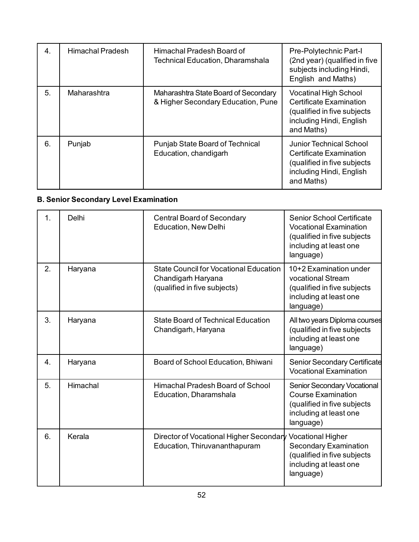| 4. | Himachal Pradesh | Himachal Pradesh Board of<br><b>Technical Education, Dharamshala</b>       | Pre-Polytechnic Part-I<br>(2nd year) (qualified in five<br>subjects including Hindi,<br>English and Maths)                              |
|----|------------------|----------------------------------------------------------------------------|-----------------------------------------------------------------------------------------------------------------------------------------|
| 5. | Maharashtra      | Maharashtra State Board of Secondary<br>& Higher Secondary Education, Pune | <b>Vocatinal High School</b><br><b>Certificate Examination</b><br>(qualified in five subjects<br>including Hindi, English<br>and Maths) |
| 6. | Punjab           | Punjab State Board of Technical<br>Education, chandigarh                   | Junior Technical School<br>Certificate Examination<br>(qualified in five subjects<br>including Hindi, English<br>and Maths)             |

# **B. Senior Secondary Level Examination**

| 1. | Delhi    | <b>Central Board of Secondary</b><br><b>Education, New Delhi</b>                                    | <b>Senior School Certificate</b><br><b>Vocational Examination</b><br>(qualified in five subjects<br>including at least one<br>language) |
|----|----------|-----------------------------------------------------------------------------------------------------|-----------------------------------------------------------------------------------------------------------------------------------------|
| 2. | Haryana  | <b>State Council for Vocational Education</b><br>Chandigarh Haryana<br>(qualified in five subjects) | 10+2 Examination under<br>vocational Stream<br>(qualified in five subjects<br>including at least one<br>language)                       |
| 3. | Haryana  | <b>State Board of Technical Education</b><br>Chandigarh, Haryana                                    | All two years Diploma courses<br>(qualified in five subjects<br>including at least one<br>language)                                     |
| 4. | Haryana  | Board of School Education, Bhiwani                                                                  | <b>Senior Secondary Certificate</b><br><b>Vocational Examination</b>                                                                    |
| 5. | Himachal | Himachal Pradesh Board of School<br>Education, Dharamshala                                          | Senior Secondary Vocational<br><b>Course Examination</b><br>(qualified in five subjects<br>including at least one<br>language)          |
| 6. | Kerala   | Director of Vocational Higher Secondary<br>Education, Thiruvananthapuram                            | <b>Vocational Higher</b><br><b>Secondary Examination</b><br>(qualified in five subjects<br>including at least one<br>language)          |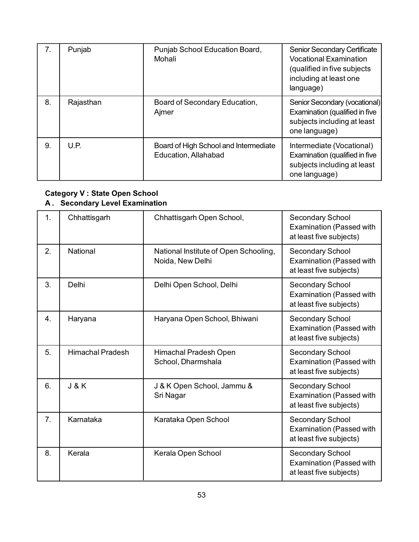| 7 <sub>1</sub> | Punjab    | Punjab School Education Board,<br>Mohali                      | Senior Secondary Certificate<br><b>Vocational Examination</b><br>(qualified in five subjects<br>including at least one<br>language) |
|----------------|-----------|---------------------------------------------------------------|-------------------------------------------------------------------------------------------------------------------------------------|
| 8.             | Rajasthan | Board of Secondary Education,<br>Ajmer                        | Senior Secondary (vocational)<br>Examination (qualified in five<br>subjects including at least<br>one language)                     |
| 9.             | U.P.      | Board of High School and Intermediate<br>Education, Allahabad | Intermediate (Vocational)<br>Examination (qualified in five<br>subjects including at least<br>one language)                         |

#### **Category V : State Open School A . Secondary Level Examination**

| 1.               | Chhattisgarh            | Chhattisgarh Open School,                                 | <b>Secondary School</b><br><b>Examination (Passed with</b><br>at least five subjects) |
|------------------|-------------------------|-----------------------------------------------------------|---------------------------------------------------------------------------------------|
| 2.               | National                | National Institute of Open Schooling,<br>Noida, New Delhi | <b>Secondary School</b><br><b>Examination (Passed with</b><br>at least five subjects) |
| 3.               | Delhi                   | Delhi Open School, Delhi                                  | <b>Secondary School</b><br><b>Examination (Passed with</b><br>at least five subjects) |
| 4.               | Haryana                 | Haryana Open School, Bhiwani                              | <b>Secondary School</b><br><b>Examination (Passed with</b><br>at least five subjects) |
| 5.               | <b>Himachal Pradesh</b> | Himachal Pradesh Open<br>School, Dharmshala               | Secondary School<br><b>Examination (Passed with</b><br>at least five subjects)        |
| 6.               | <b>J&amp;K</b>          | J & K Open School, Jammu &<br>Sri Nagar                   | <b>Secondary School</b><br><b>Examination (Passed with</b><br>at least five subjects) |
| $\overline{7}$ . | Karnataka               | Karataka Open School                                      | Secondary School<br><b>Examination (Passed with</b><br>at least five subjects)        |
| 8.               | Kerala                  | Kerala Open School                                        | Secondary School<br><b>Examination (Passed with</b><br>at least five subjects)        |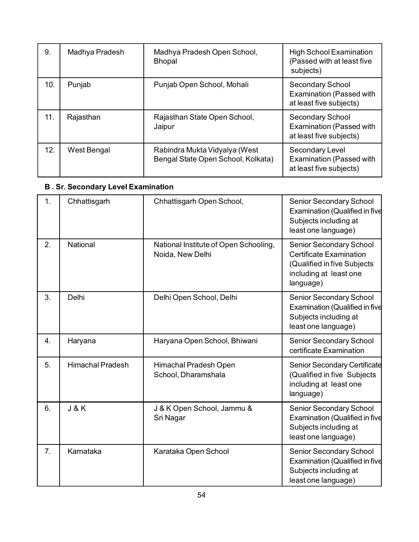| 9.  | Madhya Pradesh | Madhya Pradesh Open School,<br><b>Bhopal</b>                        | <b>High School Examination</b><br>(Passed with at least five<br>subjects)      |
|-----|----------------|---------------------------------------------------------------------|--------------------------------------------------------------------------------|
| 10. | Punjab         | Punjab Open School, Mohali                                          | Secondary School<br><b>Examination (Passed with</b><br>at least five subjects) |
| 11. | Rajasthan      | Rajasthan State Open School,<br>Jaipur                              | Secondary School<br><b>Examination (Passed with</b><br>at least five subjects) |
| 12. | West Bengal    | Rabindra Mukta Vidyalya (West<br>Bengal State Open School, Kolkata) | Secondary Level<br><b>Examination (Passed with</b><br>at least five subjects)  |

# **B . Sr. Secondary Level Examination**

| 1. | Chhattisgarh            | Chhattisgarh Open School,                                 | Senior Secondary School<br>Examination (Qualified in five<br>Subjects including at<br>least one language)                              |
|----|-------------------------|-----------------------------------------------------------|----------------------------------------------------------------------------------------------------------------------------------------|
| 2. | National                | National Institute of Open Schooling,<br>Noida, New Delhi | <b>Senior Secondary School</b><br><b>Certificate Examination</b><br>(Qualified in five Subjects<br>including at least one<br>language) |
| 3. | Delhi                   | Delhi Open School, Delhi                                  | Senior Secondary School<br>Examination (Qualified in five<br>Subjects including at<br>least one language)                              |
| 4. | Haryana                 | Haryana Open School, Bhiwani                              | Senior Secondary School<br>certificate Examination                                                                                     |
| 5. | <b>Himachal Pradesh</b> | Himachal Pradesh Open<br>School, Dharamshala              | Senior Secondary Certificate<br>(Qualified in five Subjects<br>including at least one<br>language)                                     |
| 6. | <b>J&amp;K</b>          | J & K Open School, Jammu &<br>Sri Nagar                   | Senior Secondary School<br>Examination (Qualified in five<br>Subjects including at<br>least one language)                              |
| 7. | Karnataka               | Karataka Open School                                      | Senior Secondary School<br>Examination (Qualified in five<br>Subjects including at<br>least one language)                              |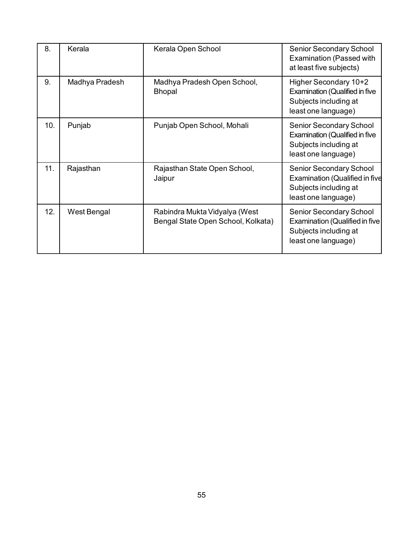| 8.  | Kerala         | Kerala Open School                                                  | <b>Senior Secondary School</b><br><b>Examination (Passed with</b><br>at least five subjects)                            |
|-----|----------------|---------------------------------------------------------------------|-------------------------------------------------------------------------------------------------------------------------|
| 9.  | Madhya Pradesh | Madhya Pradesh Open School,<br><b>Bhopal</b>                        | Higher Secondary 10+2<br><b>Examination (Qualified in five</b><br>Subjects including at<br>least one language)          |
| 10. | Punjab         | Punjab Open School, Mohali                                          | <b>Senior Secondary School</b><br><b>Examination (Qualified in five</b><br>Subjects including at<br>least one language) |
| 11. | Rajasthan      | Rajasthan State Open School,<br>Jaipur                              | <b>Senior Secondary School</b><br><b>Examination (Qualified in five</b><br>Subjects including at<br>least one language) |
| 12. | West Bengal    | Rabindra Mukta Vidyalya (West<br>Bengal State Open School, Kolkata) | <b>Senior Secondary School</b><br>Examination (Qualified in five<br>Subjects including at<br>least one language)        |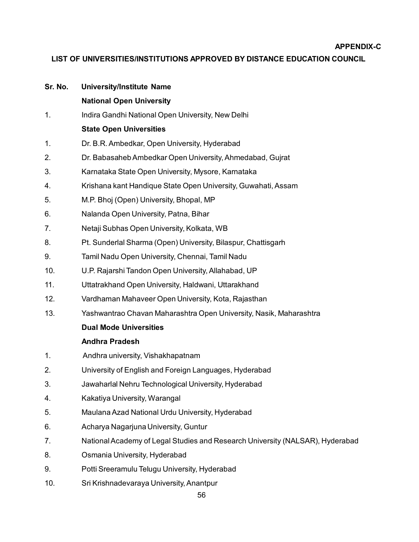#### **APPENDIX-C**

### **LIST OF UNIVERSITIES/INSTITUTIONS APPROVED BY DISTANCE EDUCATION COUNCIL**

| Sr. No. | <b>University/Institute Name</b>                                              |
|---------|-------------------------------------------------------------------------------|
|         | <b>National Open University</b>                                               |
| 1.      | Indira Gandhi National Open University, New Delhi                             |
|         | <b>State Open Universities</b>                                                |
| 1.      | Dr. B.R. Ambedkar, Open University, Hyderabad                                 |
| 2.      | Dr. Babasaheb Ambedkar Open University, Ahmedabad, Gujrat                     |
| 3.      | Karnataka State Open University, Mysore, Karnataka                            |
| 4.      | Krishana kant Handique State Open University, Guwahati, Assam                 |
| 5.      | M.P. Bhoj (Open) University, Bhopal, MP                                       |
| 6.      | Nalanda Open University, Patna, Bihar                                         |
| 7.      | Netaji Subhas Open University, Kolkata, WB                                    |
| 8.      | Pt. Sunderlal Sharma (Open) University, Bilaspur, Chattisgarh                 |
| 9.      | Tamil Nadu Open University, Chennai, Tamil Nadu                               |
| 10.     | U.P. Rajarshi Tandon Open University, Allahabad, UP                           |
| 11.     | Uttatrakhand Open University, Haldwani, Uttarakhand                           |
| 12.     | Vardhaman Mahaveer Open University, Kota, Rajasthan                           |
| 13.     | Yashwantrao Chavan Maharashtra Open University, Nasik, Maharashtra            |
|         | <b>Dual Mode Universities</b>                                                 |
|         | <b>Andhra Pradesh</b>                                                         |
| 1.      | Andhra university, Vishakhapatnam                                             |
| 2.      | University of English and Foreign Languages, Hyderabad                        |
| 3.      | Jawaharlal Nehru Technological University, Hyderabad                          |
| 4.      | Kakatiya University, Warangal                                                 |
| 5.      | Maulana Azad National Urdu University, Hyderabad                              |
| 6.      | Acharya Nagarjuna University, Guntur                                          |
| 7.      | National Academy of Legal Studies and Research University (NALSAR), Hyderabad |
| 8.      | Osmania University, Hyderabad                                                 |
| 9.      | Potti Sreeramulu Telugu University, Hyderabad                                 |
| 10.     | Sri Krishnadevaraya University, Anantpur                                      |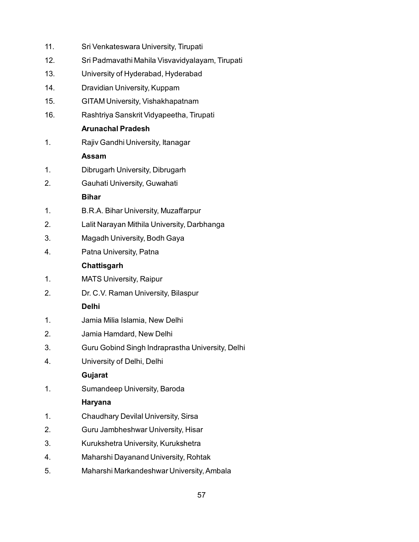| 12.<br>Sri Padmavathi Mahila Visvavidyalayam, Tirupati<br>13.<br>University of Hyderabad, Hyderabad<br>14.<br>Dravidian University, Kuppam<br>15.<br>GITAM University, Vishakhapatnam<br>16.<br>Rashtriya Sanskrit Vidyapeetha, Tirupati<br><b>Arunachal Pradesh</b><br>Rajiv Gandhi University, Itanagar<br>1.<br>Assam<br>Dibrugarh University, Dibrugarh<br>1.<br>Gauhati University, Guwahati<br>2.<br><b>Bihar</b><br>1.<br>B.R.A. Bihar University, Muzaffarpur<br>2.<br>Lalit Narayan Mithila University, Darbhanga<br>3.<br>Magadh University, Bodh Gaya<br>Patna University, Patna<br>4.<br>Chattisgarh<br><b>MATS University, Raipur</b><br>1.<br>Dr. C.V. Raman University, Bilaspur<br>2.<br><b>Delhi</b><br>Jamia Milia Islamia, New Delhi<br>1.<br>Jamia Hamdard, New Delhi<br>2.<br>3.<br>Guru Gobind Singh Indraprastha University, Delhi<br>University of Delhi, Delhi<br>4.<br>Gujarat<br>Sumandeep University, Baroda<br>1.<br>Haryana<br><b>Chaudhary Devilal University, Sirsa</b><br>1.<br>2.<br>Guru Jambheshwar University, Hisar<br>3.<br>Kurukshetra University, Kurukshetra<br>Maharshi Dayanand University, Rohtak<br>4.<br>Maharshi Markandeshwar University, Ambala<br>5. | 11. | Sri Venkateswara University, Tirupati |
|---------------------------------------------------------------------------------------------------------------------------------------------------------------------------------------------------------------------------------------------------------------------------------------------------------------------------------------------------------------------------------------------------------------------------------------------------------------------------------------------------------------------------------------------------------------------------------------------------------------------------------------------------------------------------------------------------------------------------------------------------------------------------------------------------------------------------------------------------------------------------------------------------------------------------------------------------------------------------------------------------------------------------------------------------------------------------------------------------------------------------------------------------------------------------------------------------------|-----|---------------------------------------|
|                                                                                                                                                                                                                                                                                                                                                                                                                                                                                                                                                                                                                                                                                                                                                                                                                                                                                                                                                                                                                                                                                                                                                                                                         |     |                                       |
|                                                                                                                                                                                                                                                                                                                                                                                                                                                                                                                                                                                                                                                                                                                                                                                                                                                                                                                                                                                                                                                                                                                                                                                                         |     |                                       |
|                                                                                                                                                                                                                                                                                                                                                                                                                                                                                                                                                                                                                                                                                                                                                                                                                                                                                                                                                                                                                                                                                                                                                                                                         |     |                                       |
|                                                                                                                                                                                                                                                                                                                                                                                                                                                                                                                                                                                                                                                                                                                                                                                                                                                                                                                                                                                                                                                                                                                                                                                                         |     |                                       |
|                                                                                                                                                                                                                                                                                                                                                                                                                                                                                                                                                                                                                                                                                                                                                                                                                                                                                                                                                                                                                                                                                                                                                                                                         |     |                                       |
|                                                                                                                                                                                                                                                                                                                                                                                                                                                                                                                                                                                                                                                                                                                                                                                                                                                                                                                                                                                                                                                                                                                                                                                                         |     |                                       |
|                                                                                                                                                                                                                                                                                                                                                                                                                                                                                                                                                                                                                                                                                                                                                                                                                                                                                                                                                                                                                                                                                                                                                                                                         |     |                                       |
|                                                                                                                                                                                                                                                                                                                                                                                                                                                                                                                                                                                                                                                                                                                                                                                                                                                                                                                                                                                                                                                                                                                                                                                                         |     |                                       |
|                                                                                                                                                                                                                                                                                                                                                                                                                                                                                                                                                                                                                                                                                                                                                                                                                                                                                                                                                                                                                                                                                                                                                                                                         |     |                                       |
|                                                                                                                                                                                                                                                                                                                                                                                                                                                                                                                                                                                                                                                                                                                                                                                                                                                                                                                                                                                                                                                                                                                                                                                                         |     |                                       |
|                                                                                                                                                                                                                                                                                                                                                                                                                                                                                                                                                                                                                                                                                                                                                                                                                                                                                                                                                                                                                                                                                                                                                                                                         |     |                                       |
|                                                                                                                                                                                                                                                                                                                                                                                                                                                                                                                                                                                                                                                                                                                                                                                                                                                                                                                                                                                                                                                                                                                                                                                                         |     |                                       |
|                                                                                                                                                                                                                                                                                                                                                                                                                                                                                                                                                                                                                                                                                                                                                                                                                                                                                                                                                                                                                                                                                                                                                                                                         |     |                                       |
|                                                                                                                                                                                                                                                                                                                                                                                                                                                                                                                                                                                                                                                                                                                                                                                                                                                                                                                                                                                                                                                                                                                                                                                                         |     |                                       |
|                                                                                                                                                                                                                                                                                                                                                                                                                                                                                                                                                                                                                                                                                                                                                                                                                                                                                                                                                                                                                                                                                                                                                                                                         |     |                                       |
|                                                                                                                                                                                                                                                                                                                                                                                                                                                                                                                                                                                                                                                                                                                                                                                                                                                                                                                                                                                                                                                                                                                                                                                                         |     |                                       |
|                                                                                                                                                                                                                                                                                                                                                                                                                                                                                                                                                                                                                                                                                                                                                                                                                                                                                                                                                                                                                                                                                                                                                                                                         |     |                                       |
|                                                                                                                                                                                                                                                                                                                                                                                                                                                                                                                                                                                                                                                                                                                                                                                                                                                                                                                                                                                                                                                                                                                                                                                                         |     |                                       |
|                                                                                                                                                                                                                                                                                                                                                                                                                                                                                                                                                                                                                                                                                                                                                                                                                                                                                                                                                                                                                                                                                                                                                                                                         |     |                                       |
|                                                                                                                                                                                                                                                                                                                                                                                                                                                                                                                                                                                                                                                                                                                                                                                                                                                                                                                                                                                                                                                                                                                                                                                                         |     |                                       |
|                                                                                                                                                                                                                                                                                                                                                                                                                                                                                                                                                                                                                                                                                                                                                                                                                                                                                                                                                                                                                                                                                                                                                                                                         |     |                                       |
|                                                                                                                                                                                                                                                                                                                                                                                                                                                                                                                                                                                                                                                                                                                                                                                                                                                                                                                                                                                                                                                                                                                                                                                                         |     |                                       |
|                                                                                                                                                                                                                                                                                                                                                                                                                                                                                                                                                                                                                                                                                                                                                                                                                                                                                                                                                                                                                                                                                                                                                                                                         |     |                                       |
|                                                                                                                                                                                                                                                                                                                                                                                                                                                                                                                                                                                                                                                                                                                                                                                                                                                                                                                                                                                                                                                                                                                                                                                                         |     |                                       |
|                                                                                                                                                                                                                                                                                                                                                                                                                                                                                                                                                                                                                                                                                                                                                                                                                                                                                                                                                                                                                                                                                                                                                                                                         |     |                                       |
|                                                                                                                                                                                                                                                                                                                                                                                                                                                                                                                                                                                                                                                                                                                                                                                                                                                                                                                                                                                                                                                                                                                                                                                                         |     |                                       |
|                                                                                                                                                                                                                                                                                                                                                                                                                                                                                                                                                                                                                                                                                                                                                                                                                                                                                                                                                                                                                                                                                                                                                                                                         |     |                                       |
|                                                                                                                                                                                                                                                                                                                                                                                                                                                                                                                                                                                                                                                                                                                                                                                                                                                                                                                                                                                                                                                                                                                                                                                                         |     |                                       |
|                                                                                                                                                                                                                                                                                                                                                                                                                                                                                                                                                                                                                                                                                                                                                                                                                                                                                                                                                                                                                                                                                                                                                                                                         |     |                                       |
|                                                                                                                                                                                                                                                                                                                                                                                                                                                                                                                                                                                                                                                                                                                                                                                                                                                                                                                                                                                                                                                                                                                                                                                                         |     |                                       |
|                                                                                                                                                                                                                                                                                                                                                                                                                                                                                                                                                                                                                                                                                                                                                                                                                                                                                                                                                                                                                                                                                                                                                                                                         |     |                                       |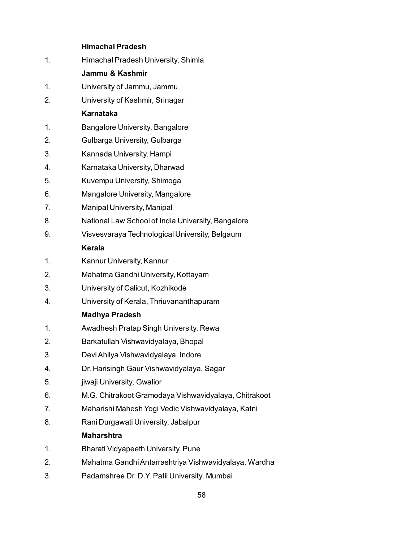## **Himachal Pradesh**

| 1. | Himachal Pradesh University, Shimla                   |
|----|-------------------------------------------------------|
|    | Jammu & Kashmir                                       |
| 1. | University of Jammu, Jammu                            |
| 2. | University of Kashmir, Srinagar                       |
|    | <b>Karnataka</b>                                      |
| 1. | <b>Bangalore University, Bangalore</b>                |
| 2. | Gulbarga University, Gulbarga                         |
| 3. | Kannada University, Hampi                             |
| 4. | Karnataka University, Dharwad                         |
| 5. | Kuvempu University, Shimoga                           |
| 6. | Mangalore University, Mangalore                       |
| 7. | Manipal University, Manipal                           |
| 8. | National Law School of India University, Bangalore    |
| 9. | Visvesvaraya Technological University, Belgaum        |
|    | Kerala                                                |
| 1. | Kannur University, Kannur                             |
| 2. | Mahatma Gandhi University, Kottayam                   |
| 3. | University of Calicut, Kozhikode                      |
| 4. | University of Kerala, Thriuvananthapuram              |
|    | <b>Madhya Pradesh</b>                                 |
| 1. | Awadhesh Pratap Singh University, Rewa                |
| 2. | Barkatullah Vishwavidyalaya, Bhopal                   |
| 3. | Devi Ahilya Vishwavidyalaya, Indore                   |
| 4. | Dr. Harisingh Gaur Vishwavidyalaya, Sagar             |
| 5. | jiwaji University, Gwalior                            |
| 6. | M.G. Chitrakoot Gramodaya Vishwavidyalaya, Chitrakoot |
| 7. | Maharishi Mahesh Yogi Vedic Vishwavidyalaya, Katni    |
| 8. | Rani Durgawati University, Jabalpur                   |
|    | <b>Maharshtra</b>                                     |
| 1. | Bharati Vidyapeeth University, Pune                   |
| 2. | Mahatma Gandhi Antarrashtriya Vishwavidyalaya, Wardha |
|    |                                                       |

3. Padamshree Dr. D.Y. Patil University, Mumbai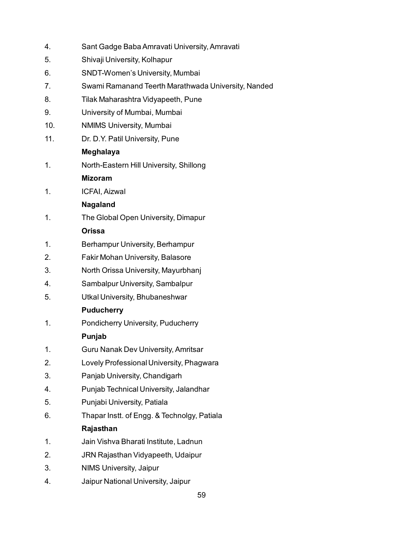| 4.  | Sant Gadge Baba Amravati University, Amravati       |
|-----|-----------------------------------------------------|
| 5.  | Shivaji University, Kolhapur                        |
| 6.  | <b>SNDT-Women's University, Mumbai</b>              |
| 7.  | Swami Ramanand Teerth Marathwada University, Nanded |
| 8.  | Tilak Maharashtra Vidyapeeth, Pune                  |
| 9.  | University of Mumbai, Mumbai                        |
| 10. | <b>NMIMS University, Mumbai</b>                     |
| 11. | Dr. D.Y. Patil University, Pune                     |
|     | <b>Meghalaya</b>                                    |
| 1.  | North-Eastern Hill University, Shillong             |
|     | <b>Mizoram</b>                                      |
| 1.  | ICFAI, Aizwal                                       |
|     | <b>Nagaland</b>                                     |
| 1.  | The Global Open University, Dimapur                 |
|     | <b>Orissa</b>                                       |
| 1.  | Berhampur University, Berhampur                     |
| 2.  | <b>Fakir Mohan University, Balasore</b>             |
| 3.  | North Orissa University, Mayurbhanj                 |
| 4.  | Sambalpur University, Sambalpur                     |
| 5.  | Utkal University, Bhubaneshwar                      |
|     | <b>Puducherry</b>                                   |
| 1.  | Pondicherry University, Puducherry                  |
|     | Punjab                                              |
| 1.  | Guru Nanak Dev University, Amritsar                 |
| 2.  | Lovely Professional University, Phagwara            |
| 3.  | Panjab University, Chandigarh                       |
| 4.  | Punjab Technical University, Jalandhar              |
| 5.  | Punjabi University, Patiala                         |
| 6.  | Thapar Instt. of Engg. & Technolgy, Patiala         |
|     | Rajasthan                                           |
| 1.  | Jain Vishva Bharati Institute, Ladnun               |
| 2.  | JRN Rajasthan Vidyapeeth, Udaipur                   |
| 3.  | <b>NIMS University, Jaipur</b>                      |
| 4.  | Jaipur National University, Jaipur                  |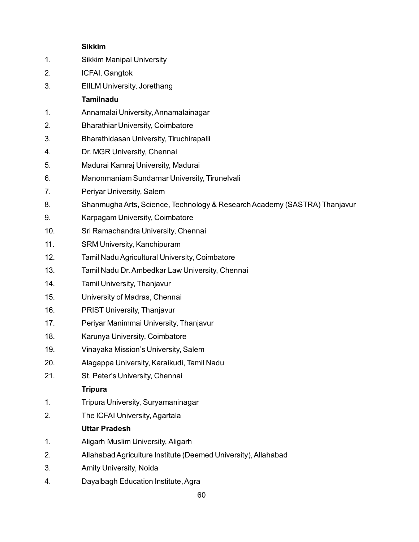## **Sikkim**

| 1.  | <b>Sikkim Manipal University</b>                                          |
|-----|---------------------------------------------------------------------------|
| 2.  | ICFAI, Gangtok                                                            |
| 3.  | <b>EIILM University, Jorethang</b>                                        |
|     | <b>Tamilnadu</b>                                                          |
| 1.  | Annamalai University, Annamalainagar                                      |
| 2.  | <b>Bharathiar University, Coimbatore</b>                                  |
| 3.  | Bharathidasan University, Tiruchirapalli                                  |
| 4.  | Dr. MGR University, Chennai                                               |
| 5.  | Madurai Kamraj University, Madurai                                        |
| 6.  | Manonmaniam Sundarnar University, Tirunelvali                             |
| 7.  | Periyar University, Salem                                                 |
| 8.  | Shanmugha Arts, Science, Technology & Research Academy (SASTRA) Thanjavur |
| 9.  | Karpagam University, Coimbatore                                           |
| 10. | Sri Ramachandra University, Chennai                                       |
| 11. | SRM University, Kanchipuram                                               |
| 12. | Tamil Nadu Agricultural University, Coimbatore                            |
| 13. | Tamil Nadu Dr. Ambedkar Law University, Chennai                           |
| 14. | Tamil University, Thanjavur                                               |
| 15. | University of Madras, Chennai                                             |
| 16. | <b>PRIST University, Thanjavur</b>                                        |
| 17. | Periyar Manimmai University, Thanjavur                                    |
| 18. | Karunya University, Coimbatore                                            |
| 19. | Vinayaka Mission's University, Salem                                      |
| 20. | Alagappa University, Karaikudi, Tamil Nadu                                |
| 21. | St. Peter's University, Chennai                                           |
|     | <b>Tripura</b>                                                            |
| 1.  | Tripura University, Suryamaninagar                                        |
| 2.  | The ICFAI University, Agartala                                            |
|     | <b>Uttar Pradesh</b>                                                      |
| 1.  | Aligarh Muslim University, Aligarh                                        |
| 2.  | Allahabad Agriculture Institute (Deemed University), Allahabad            |
| 3.  | Amity University, Noida                                                   |
|     |                                                                           |

4. Dayalbagh Education Institute, Agra